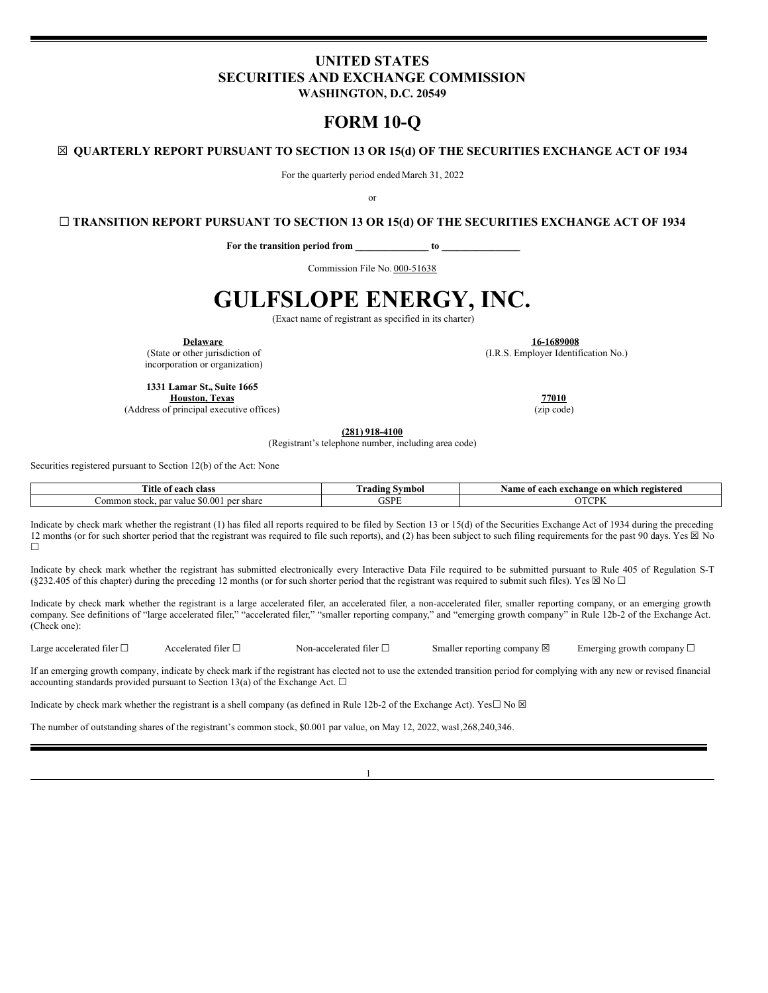## **UNITED STATES SECURITIES AND EXCHANGE COMMISSION WASHINGTON, D.C. 20549**

## **FORM 10-Q**

## <span id="page-0-0"></span>☒ **QUARTERLY REPORT PURSUANT TO SECTION 13 OR 15(d) OF THE SECURITIES EXCHANGE ACT OF 1934**

For the quarterly period ended March 31, 2022

or

## ☐ **TRANSITION REPORT PURSUANT TO SECTION 13 OR 15(d) OF THE SECURITIES EXCHANGE ACT OF 1934**

**For the transition period from \_\_\_\_\_\_\_\_\_\_\_\_\_\_\_ to \_\_\_\_\_\_\_\_\_\_\_\_\_\_\_\_**

Commission File No. 000-51638

# **GULFSLOPE ENERGY, INC.**

(Exact name of registrant as specified in its charter)

(State or other jurisdiction of incorporation or organization)

**Delaware 16-1689008** (I.R.S. Employer Identification No.)

**77010** (zip code)

**1331 Lamar St., Suite 1665 Houston, Texas**

(Address of principal executive offices)

**(281) 918-4100**

(Registrant's telephone number, including area code)

Securities registered pursuant to Section 12(b) of the Act: None

| Title.<br>class<br>each .<br>` 01                           | Symbol<br>Fadın     | exchange on<br>registerea<br><b>Name</b><br>which<br>each<br>` 01 |
|-------------------------------------------------------------|---------------------|-------------------------------------------------------------------|
| \$0.00<br>share<br>par<br>value.<br>ner<br>stock.<br>∠ommon | <b>CODE</b><br>JOFE | $\cap$ T $\cap$ D $\nu$                                           |

Indicate by check mark whether the registrant (1) has filed all reports required to be filed by Section 13 or 15(d) of the Securities Exchange Act of 1934 during the preceding 12 months (or for such shorter period that the registrant was required to file such reports), and (2) has been subject to such filing requirements for the past 90 days. Yes  $\boxtimes$  No ☐

Indicate by check mark whether the registrant has submitted electronically every Interactive Data File required to be submitted pursuant to Rule 405 of Regulation S-T (§232.405 of this chapter) during the preceding 12 months (or for such shorter period that the registrant was required to submit such files). Yes  $\boxtimes$  No  $\Box$ 

Indicate by check mark whether the registrant is a large accelerated filer, an accelerated filer, a non-accelerated filer, smaller reporting company, or an emerging growth company. See definitions of "large accelerated filer," "accelerated filer," "smaller reporting company," and "emerging growth company" in Rule 12b-2 of the Exchange Act. (Check one):

Large accelerated filer □ Accelerated filer □ Non-accelerated filer □ Smaller reporting company ⊠ Emerging growth company □

If an emerging growth company, indicate by check mark if the registrant has elected not to use the extended transition period for complying with any new or revised financial accounting standards provided pursuant to Section 13(a) of the Exchange Act.  $\Box$ 

Indicate by check mark whether the registrant is a shell company (as defined in Rule 12b-2 of the Exchange Act). Yes $\Box$  No  $\boxtimes$ 

The number of outstanding shares of the registrant's common stock, \$0.001 par value, on May 12, 2022, was1,268,240,346.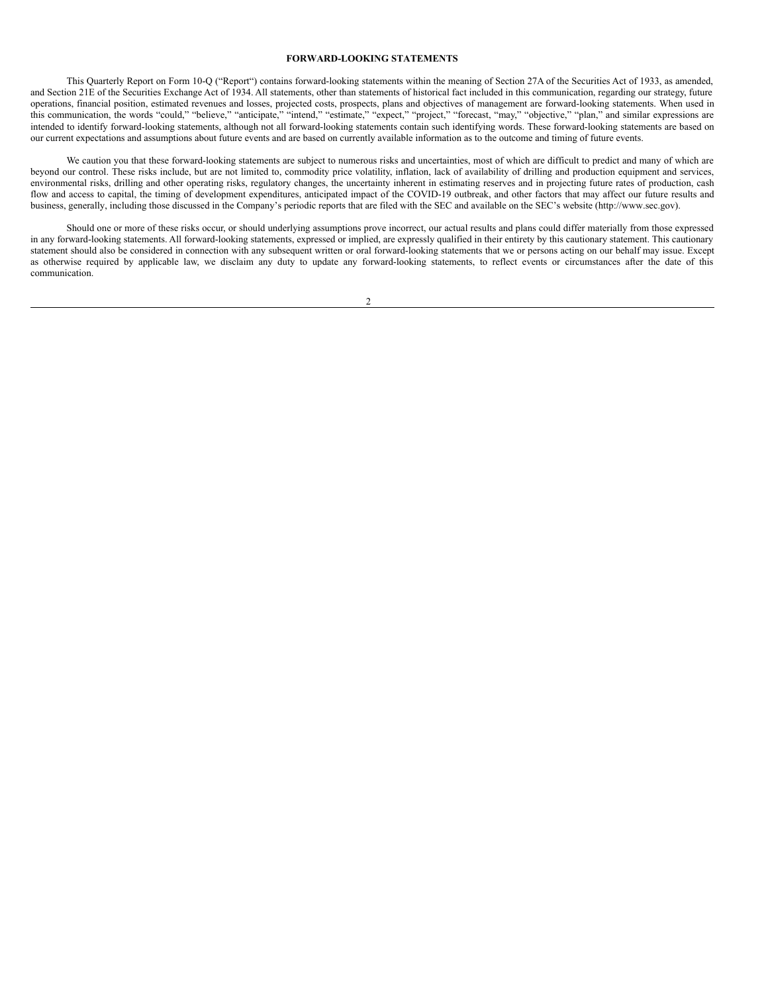## **FORWARD-LOOKING STATEMENTS**

This Quarterly Report on Form 10-Q ("Report") contains forward-looking statements within the meaning of Section 27A of the Securities Act of 1933, as amended, and Section 21E of the Securities Exchange Act of 1934. All statements, other than statements of historical fact included in this communication, regarding our strategy, future operations, financial position, estimated revenues and losses, projected costs, prospects, plans and objectives of management are forward-looking statements. When used in this communication, the words "could," "believe," "anticipate," "intend," "estimate," "expect," "project," "forecast, "may," "objective," "plan," and similar expressions are intended to identify forward-looking statements, although not all forward-looking statements contain such identifying words. These forward-looking statements are based on our current expectations and assumptions about future events and are based on currently available information as to the outcome and timing of future events.

We caution you that these forward-looking statements are subject to numerous risks and uncertainties, most of which are difficult to predict and many of which are beyond our control. These risks include, but are not limited to, commodity price volatility, inflation, lack of availability of drilling and production equipment and services, environmental risks, drilling and other operating risks, regulatory changes, the uncertainty inherent in estimating reserves and in projecting future rates of production, cash flow and access to capital, the timing of development expenditures, anticipated impact of the COVID-19 outbreak, and other factors that may affect our future results and business, generally, including those discussed in the Company's periodic reports that are filed with the SEC and available on the SEC's website (http://www.sec.gov).

Should one or more of these risks occur, or should underlying assumptions prove incorrect, our actual results and plans could differ materially from those expressed in any forward-looking statements. All forward-looking statements, expressed or implied, are expressly qualified in their entirety by this cautionary statement. This cautionary statement should also be considered in connection with any subsequent written or oral forward-looking statements that we or persons acting on our behalf may issue. Except as otherwise required by applicable law, we disclaim any duty to update any forward-looking statements, to reflect events or circumstances after the date of this communication.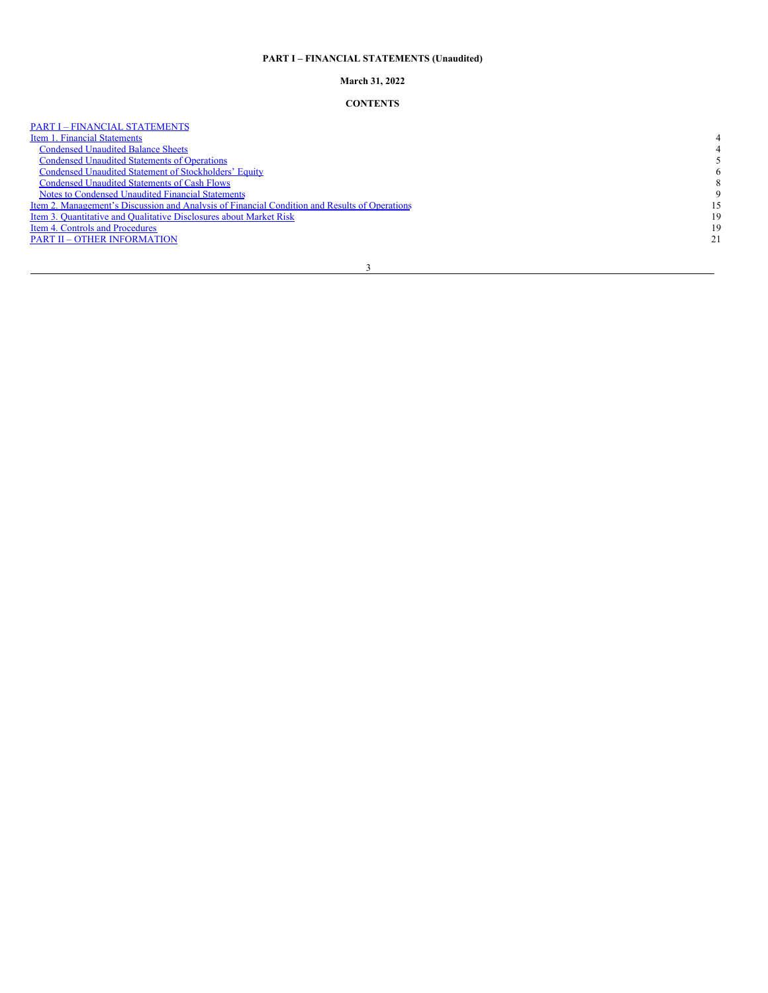## **PART I – FINANCIAL STATEMENTS (Unaudited)**

## **March 31, 2022**

## **CONTENTS**

| <b>PART I - FINANCIAL STATEMENTS</b>                                                          |    |
|-----------------------------------------------------------------------------------------------|----|
| Item 1. Financial Statements                                                                  |    |
| <b>Condensed Unaudited Balance Sheets</b>                                                     |    |
| <b>Condensed Unaudited Statements of Operations</b>                                           |    |
| Condensed Unaudited Statement of Stockholders' Equity                                         | 6  |
| <b>Condensed Unaudited Statements of Cash Flows</b>                                           | 8  |
| Notes to Condensed Unaudited Financial Statements                                             | 9  |
| Item 2. Management's Discussion and Analysis of Financial Condition and Results of Operations | 15 |
| Item 3. Quantitative and Qualitative Disclosures about Market Risk                            | 19 |
| Item 4. Controls and Procedures                                                               | 19 |
| <b>PART II - OTHER INFORMATION</b>                                                            | 21 |
|                                                                                               |    |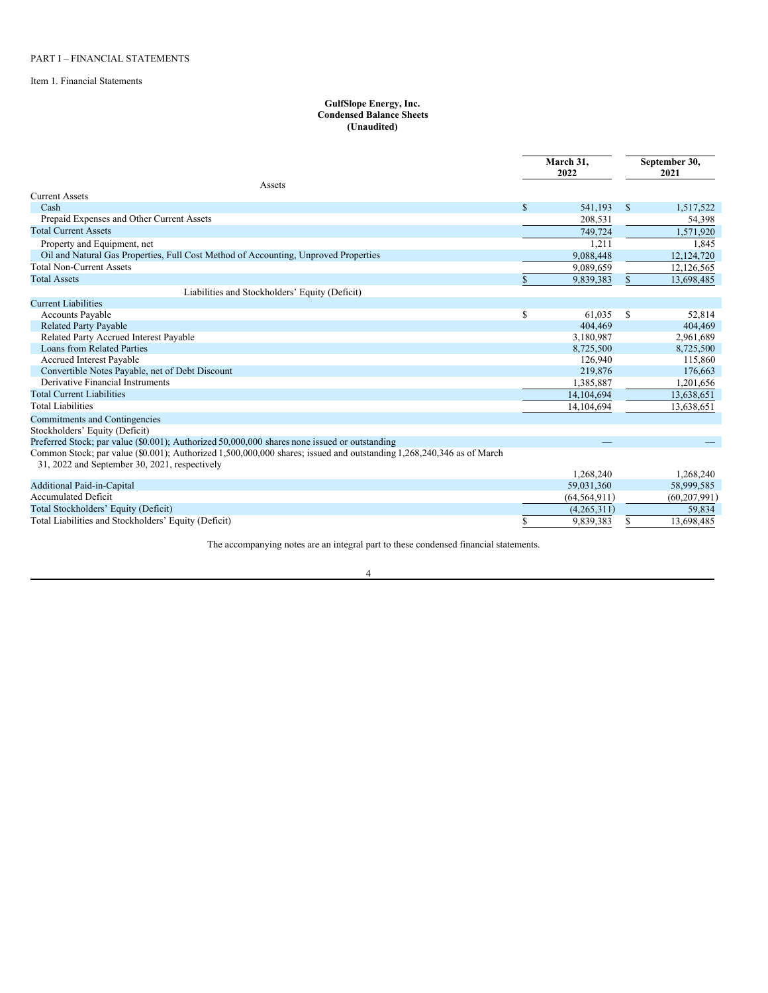## Item 1. Financial Statements

#### **GulfSlope Energy, Inc. Condensed Balance Sheets (Unaudited)**

|                                                                                                                      |    | March 31,<br>2022 |               | September 30,<br>2021 |
|----------------------------------------------------------------------------------------------------------------------|----|-------------------|---------------|-----------------------|
| Assets                                                                                                               |    |                   |               |                       |
| <b>Current Assets</b>                                                                                                |    |                   |               |                       |
| Cash                                                                                                                 | S  | 541.193           | <sup>S</sup>  | 1,517,522             |
| Prepaid Expenses and Other Current Assets                                                                            |    | 208,531           |               | 54,398                |
| <b>Total Current Assets</b>                                                                                          |    | 749.724           |               | 1,571,920             |
| Property and Equipment, net                                                                                          |    | 1,211             |               | 1,845                 |
| Oil and Natural Gas Properties, Full Cost Method of Accounting, Unproved Properties                                  |    | 9,088,448         |               | 12, 124, 720          |
| <b>Total Non-Current Assets</b>                                                                                      |    | 9,089,659         |               | 12,126,565            |
| <b>Total Assets</b>                                                                                                  |    | 9,839,383         | \$.           | 13,698,485            |
| Liabilities and Stockholders' Equity (Deficit)                                                                       |    |                   |               |                       |
| <b>Current Liabilities</b>                                                                                           |    |                   |               |                       |
| <b>Accounts Payable</b>                                                                                              | \$ | 61.035            | <sup>\$</sup> | 52,814                |
| <b>Related Party Payable</b>                                                                                         |    | 404,469           |               | 404,469               |
| Related Party Accrued Interest Payable                                                                               |    | 3,180,987         |               | 2,961,689             |
| Loans from Related Parties                                                                                           |    | 8,725,500         |               | 8,725,500             |
| Accrued Interest Payable                                                                                             |    | 126,940           |               | 115,860               |
| Convertible Notes Payable, net of Debt Discount                                                                      |    | 219,876           |               | 176,663               |
| Derivative Financial Instruments                                                                                     |    | 1,385,887         |               | 1,201,656             |
| <b>Total Current Liabilities</b>                                                                                     |    | 14.104.694        |               | 13,638,651            |
| <b>Total Liabilities</b>                                                                                             |    | 14,104,694        |               | 13,638,651            |
| Commitments and Contingencies                                                                                        |    |                   |               |                       |
| Stockholders' Equity (Deficit)                                                                                       |    |                   |               |                       |
| Preferred Stock; par value (\$0.001); Authorized 50,000,000 shares none issued or outstanding                        |    |                   |               |                       |
| Common Stock; par value (\$0.001); Authorized 1,500,000,000 shares; issued and outstanding 1,268,240,346 as of March |    |                   |               |                       |
| 31, 2022 and September 30, 2021, respectively                                                                        |    |                   |               |                       |
|                                                                                                                      |    | 1,268,240         |               | 1,268,240             |
| Additional Paid-in-Capital                                                                                           |    | 59,031,360        |               | 58,999,585            |
| <b>Accumulated Deficit</b>                                                                                           |    | (64, 564, 911)    |               | (60, 207, 991)        |
| Total Stockholders' Equity (Deficit)                                                                                 |    | (4,265,311)       |               | 59,834                |
| Total Liabilities and Stockholders' Equity (Deficit)                                                                 | S  | 9,839,383         | S.            | 13,698,485            |

The accompanying notes are an integral part to these condensed financial statements.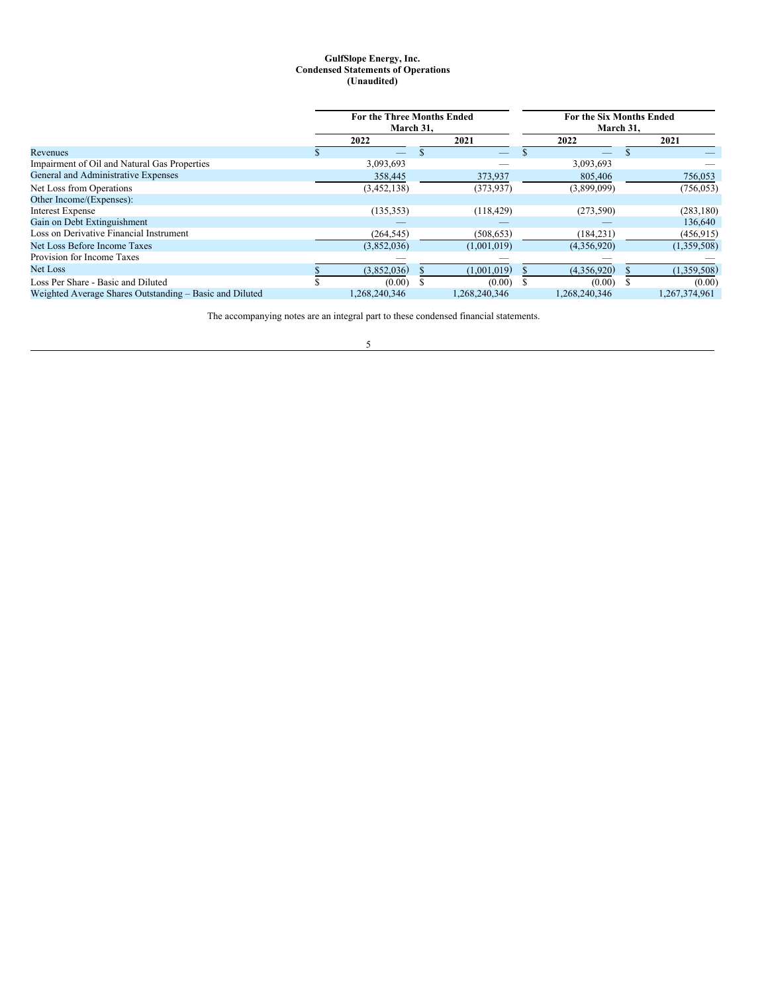## **GulfSlope Energy, Inc. Condensed Statements of Operations (Unaudited)**

|                                                         | <b>For the Three Months Ended</b><br>March 31. |              | For the Six Months Ended<br>March 31, |  |               |  |  |  |
|---------------------------------------------------------|------------------------------------------------|--------------|---------------------------------------|--|---------------|--|--|--|
|                                                         | 2022                                           | 2021         | 2022                                  |  | 2021          |  |  |  |
| Revenues                                                |                                                |              |                                       |  |               |  |  |  |
| Impairment of Oil and Natural Gas Properties            | 3,093,693                                      |              | 3,093,693                             |  |               |  |  |  |
| General and Administrative Expenses                     | 358,445                                        | 373,937      | 805,406                               |  | 756,053       |  |  |  |
| Net Loss from Operations                                | (3,452,138)                                    | (373, 937)   | (3,899,099)                           |  | (756, 053)    |  |  |  |
| Other Income/(Expenses):                                |                                                |              |                                       |  |               |  |  |  |
| <b>Interest Expense</b>                                 | (135, 353)                                     | (118, 429)   | (273, 590)                            |  | (283, 180)    |  |  |  |
| Gain on Debt Extinguishment                             |                                                |              |                                       |  | 136,640       |  |  |  |
| Loss on Derivative Financial Instrument                 | (264, 545)                                     | (508, 653)   | (184, 231)                            |  | (456, 915)    |  |  |  |
| Net Loss Before Income Taxes                            | (3,852,036)                                    | (1,001,019)  | (4,356,920)                           |  | (1,359,508)   |  |  |  |
| Provision for Income Taxes                              |                                                |              |                                       |  |               |  |  |  |
| Net Loss                                                | (3.852.036)                                    | (1,001,019)  | (4,356,920)                           |  | (1,359,508)   |  |  |  |
| Loss Per Share - Basic and Diluted                      | (0.00)                                         | (0.00)       | (0.00)                                |  | (0.00)        |  |  |  |
| Weighted Average Shares Outstanding – Basic and Diluted | .268.240.346                                   | .268.240.346 | 1.268.240.346                         |  | 1.267.374.961 |  |  |  |

The accompanying notes are an integral part to these condensed financial statements.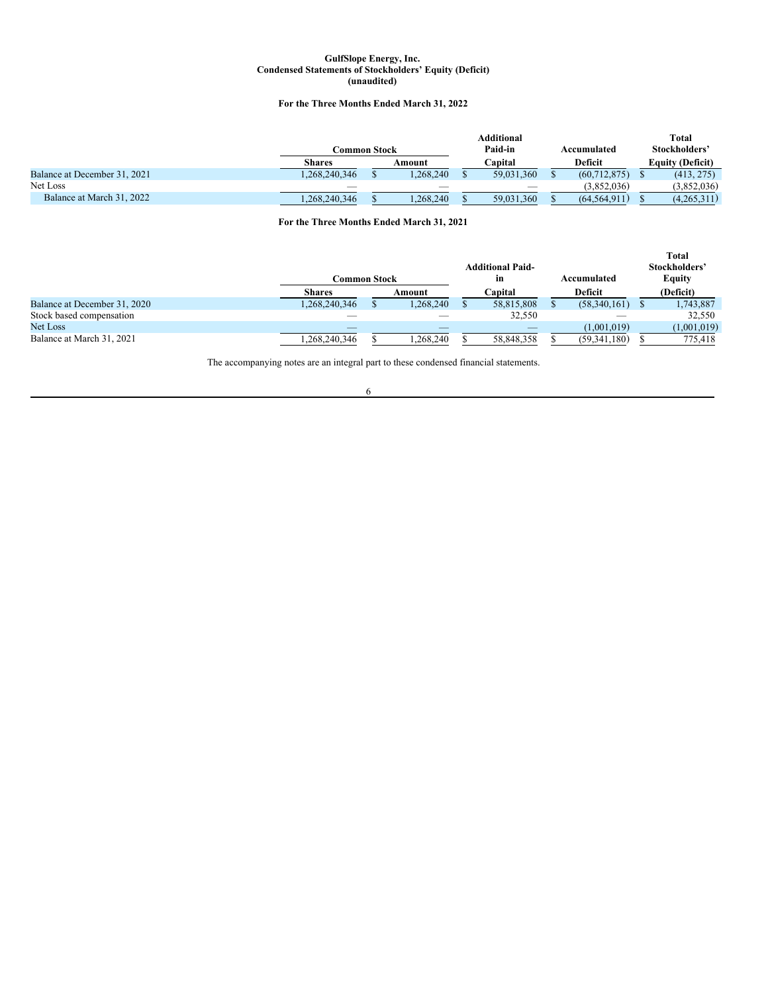## **GulfSlope Energy, Inc. Condensed Statements of Stockholders' Equity (Deficit) (unaudited)**

## **For the Three Months Ended March 31, 2022**

|                              |               |  |          |         | Additional               |  |                | <b>Total</b>            |
|------------------------------|---------------|--|----------|---------|--------------------------|--|----------------|-------------------------|
|                              | Common Stock  |  |          | Paid-in |                          |  | Accumulated    | Stockholders'           |
|                              | <b>Shares</b> |  | Amount   |         | Capital                  |  | Deficit        | <b>Equity (Deficit)</b> |
| Balance at December 31, 2021 | .268.240.346  |  | ,268,240 |         | 59,031,360               |  | (60, 712, 875) | (413, 275)              |
| Net Loss                     |               |  |          |         | $\overline{\phantom{a}}$ |  | (3.852.036)    | (3.852.036)             |
| Balance at March 31, 2022    | .268.240.346  |  | .268,240 |         | 59,031,360               |  | (64.564.911)   | (4,265,311)             |

**For the Three Months Ended March 31, 2021**

|                              | <b>Common Stock</b> |        |           |         | <b>Additional Paid-</b><br>in |  | Accumulated    | <b>Total</b><br>Stockholders'<br><b>Equity</b> |
|------------------------------|---------------------|--------|-----------|---------|-------------------------------|--|----------------|------------------------------------------------|
|                              | <b>Shares</b>       | Amount |           | Capital |                               |  | <b>Deficit</b> | (Deficit)                                      |
| Balance at December 31, 2020 | 1,268,240,346       |        | 1,268,240 |         | 58,815,808                    |  | (58,340,161)   | 1,743,887                                      |
| Stock based compensation     |                     |        |           |         | 32,550                        |  |                | 32.550                                         |
| Net Loss                     | $-$                 |        |           |         | $\overline{\phantom{a}}$      |  | (1.001.019)    | (1,001,019)                                    |
| Balance at March 31, 2021    | 1,268,240,346       |        | .268,240  |         | 58,848,358                    |  | (59,341,180)   | 775,418                                        |

The accompanying notes are an integral part to these condensed financial statements.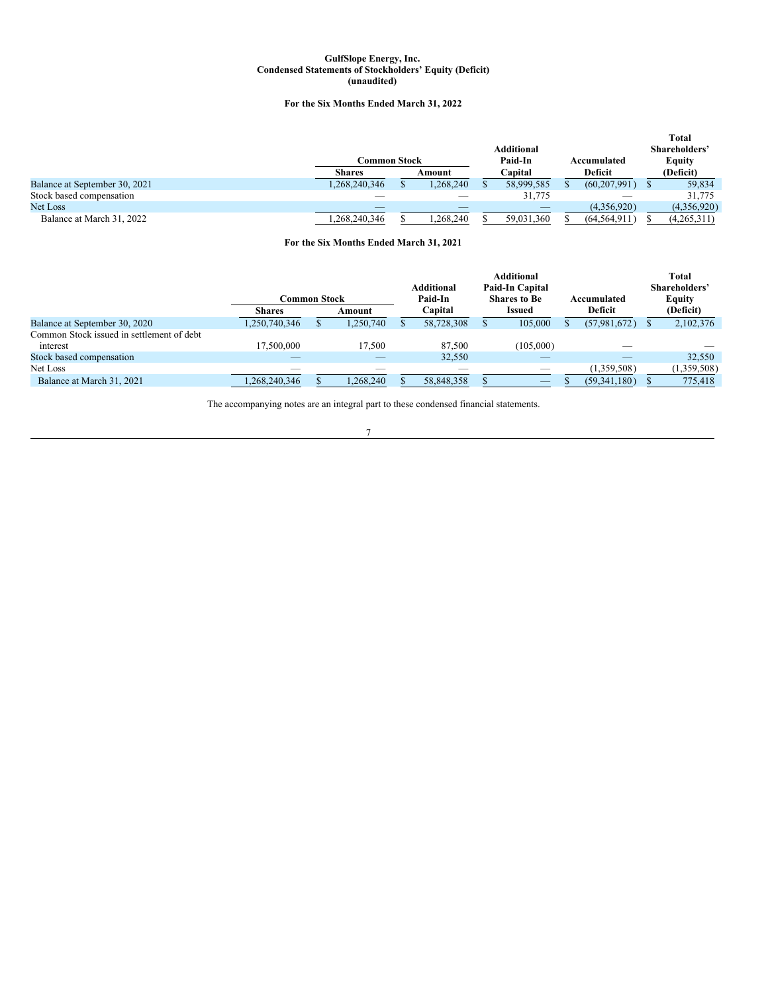### **GulfSlope Energy, Inc. Condensed Statements of Stockholders' Equity (Deficit) (unaudited)**

## **For the Six Months Ended March 31, 2022**

|                               |                     |  |           |         | <b>Additional</b> |  |                | Total<br>Shareholders' |
|-------------------------------|---------------------|--|-----------|---------|-------------------|--|----------------|------------------------|
|                               | <b>Common Stock</b> |  |           | Paid-In |                   |  | Accumulated    | Equity                 |
|                               | <b>Shares</b>       |  | Amount    |         | Capital           |  | Deficit        | (Deficit)              |
| Balance at September 30, 2021 | 1,268,240,346       |  | 1,268,240 |         | 58.999.585        |  | (60, 207, 991) | 59,834                 |
| Stock based compensation      |                     |  |           |         | 31,775            |  |                | 31,775                 |
| Net Loss                      |                     |  |           |         |                   |  | (4,356,920)    | (4,356,920)            |
| Balance at March 31, 2022     | .268.240.346        |  | .268.240  |         | 59,031,360        |  | (64, 564, 911) | (4,265,311)            |

**For the Six Months Ended March 31, 2021**

|                                           | <b>Common Stock</b>      |           | <b>Additional</b><br>Paid-In | <b>Additional</b><br>Paid-In Capital<br><b>Shares to Be</b> | Accumulated              | Total<br>Shareholders'<br><b>Equity</b> |
|-------------------------------------------|--------------------------|-----------|------------------------------|-------------------------------------------------------------|--------------------------|-----------------------------------------|
|                                           | <b>Shares</b>            | Amount    | Capital                      | <b>Issued</b>                                               | <b>Deficit</b>           | (Deficit)                               |
| Balance at September 30, 2020             | 1,250,740,346            | 1.250.740 | 58,728,308                   | 105,000                                                     | (57, 981, 672)           | 2,102,376                               |
| Common Stock issued in settlement of debt |                          |           |                              |                                                             |                          |                                         |
| interest                                  | 17.500,000               | 17.500    | 87,500                       | (105,000)                                                   | $\overline{\phantom{a}}$ |                                         |
| Stock based compensation                  |                          |           | 32,550                       |                                                             |                          | 32,550                                  |
| Net Loss                                  | $\overline{\phantom{a}}$ | _         | $\overline{\phantom{a}}$     | _                                                           | (1,359,508)              | (1,359,508)                             |
| Balance at March 31, 2021                 | .268,240,346             | ,268,240  | 58,848,358                   | _                                                           | (59, 341, 180)           | 775,418                                 |

The accompanying notes are an integral part to these condensed financial statements.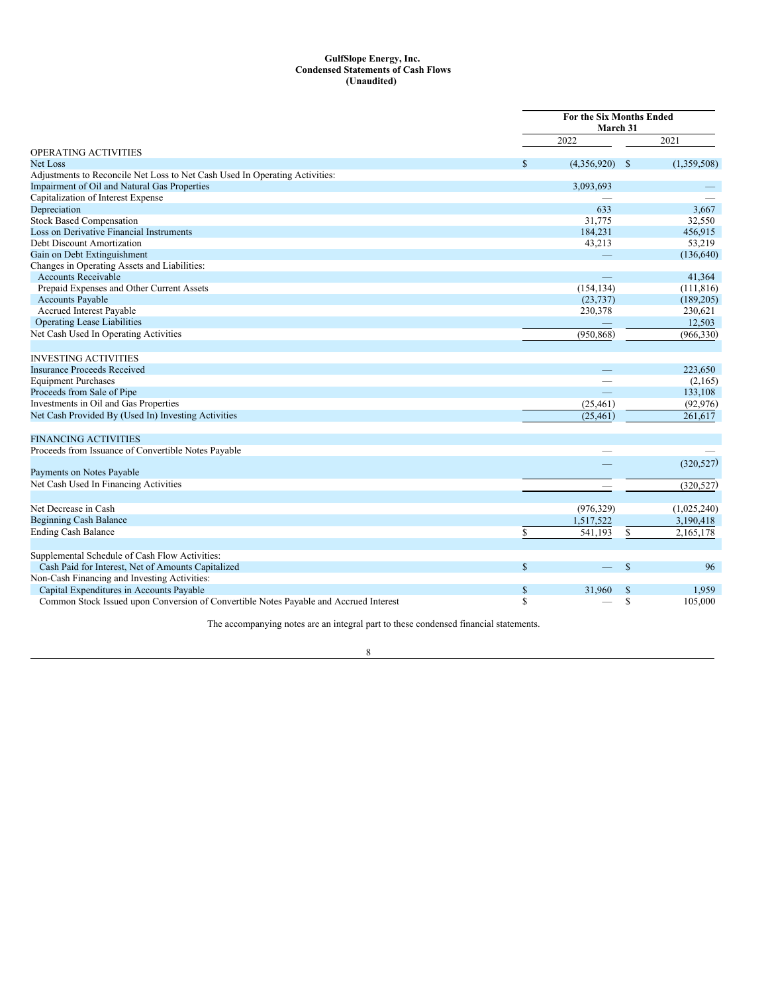## **GulfSlope Energy, Inc. Condensed Statements of Cash Flows (Unaudited)**

|                                                                                       |    | <b>For the Six Months Ended</b><br>March 31 |               |             |
|---------------------------------------------------------------------------------------|----|---------------------------------------------|---------------|-------------|
|                                                                                       |    | 2022                                        |               | 2021        |
| OPERATING ACTIVITIES                                                                  |    |                                             |               |             |
| Net Loss                                                                              | S  | (4,356,920)                                 | - \$          | (1,359,508) |
| Adjustments to Reconcile Net Loss to Net Cash Used In Operating Activities:           |    |                                             |               |             |
| Impairment of Oil and Natural Gas Properties                                          |    | 3,093,693                                   |               |             |
| Capitalization of Interest Expense                                                    |    |                                             |               |             |
| Depreciation                                                                          |    | 633                                         |               | 3,667       |
| <b>Stock Based Compensation</b>                                                       |    | 31,775                                      |               | 32,550      |
| Loss on Derivative Financial Instruments                                              |    | 184,231                                     |               | 456,915     |
| Debt Discount Amortization                                                            |    | 43,213                                      |               | 53,219      |
| Gain on Debt Extinguishment                                                           |    |                                             |               | (136, 640)  |
| Changes in Operating Assets and Liabilities:                                          |    |                                             |               |             |
| <b>Accounts Receivable</b>                                                            |    | $\qquad \qquad -$                           |               | 41,364      |
| Prepaid Expenses and Other Current Assets                                             |    | (154, 134)                                  |               | (111, 816)  |
| <b>Accounts Payable</b>                                                               |    | (23, 737)                                   |               | (189, 205)  |
| Accrued Interest Payable                                                              |    | 230,378                                     |               | 230,621     |
| <b>Operating Lease Liabilities</b>                                                    |    |                                             |               | 12.503      |
| Net Cash Used In Operating Activities                                                 |    | (950, 868)                                  |               | (966, 330)  |
| <b>INVESTING ACTIVITIES</b>                                                           |    |                                             |               |             |
| <b>Insurance Proceeds Received</b>                                                    |    |                                             |               | 223,650     |
| <b>Equipment Purchases</b>                                                            |    |                                             |               | (2,165)     |
| Proceeds from Sale of Pipe                                                            |    |                                             |               | 133,108     |
| Investments in Oil and Gas Properties                                                 |    | (25, 461)                                   |               | (92, 976)   |
| Net Cash Provided By (Used In) Investing Activities                                   |    | (25, 461)                                   |               | 261,617     |
| <b>FINANCING ACTIVITIES</b>                                                           |    |                                             |               |             |
| Proceeds from Issuance of Convertible Notes Payable                                   |    |                                             |               |             |
|                                                                                       |    |                                             |               | (320, 527)  |
| Payments on Notes Payable                                                             |    |                                             |               |             |
| Net Cash Used In Financing Activities                                                 |    |                                             |               | (320, 527)  |
| Net Decrease in Cash                                                                  |    | (976, 329)                                  |               | (1,025,240) |
| <b>Beginning Cash Balance</b>                                                         |    | 1,517,522                                   |               | 3,190,418   |
| <b>Ending Cash Balance</b>                                                            | \$ | 541.193                                     | $\mathbf S$   | 2.165.178   |
|                                                                                       |    |                                             |               |             |
| Supplemental Schedule of Cash Flow Activities:                                        |    |                                             |               |             |
| Cash Paid for Interest, Net of Amounts Capitalized                                    | \$ |                                             | <sup>\$</sup> | 96          |
| Non-Cash Financing and Investing Activities:                                          |    |                                             |               |             |
| Capital Expenditures in Accounts Payable                                              | \$ | 31,960                                      |               | 1,959       |
| Common Stock Issued upon Conversion of Convertible Notes Payable and Accrued Interest | \$ |                                             | <sup>\$</sup> | 105,000     |

The accompanying notes are an integral part to these condensed financial statements.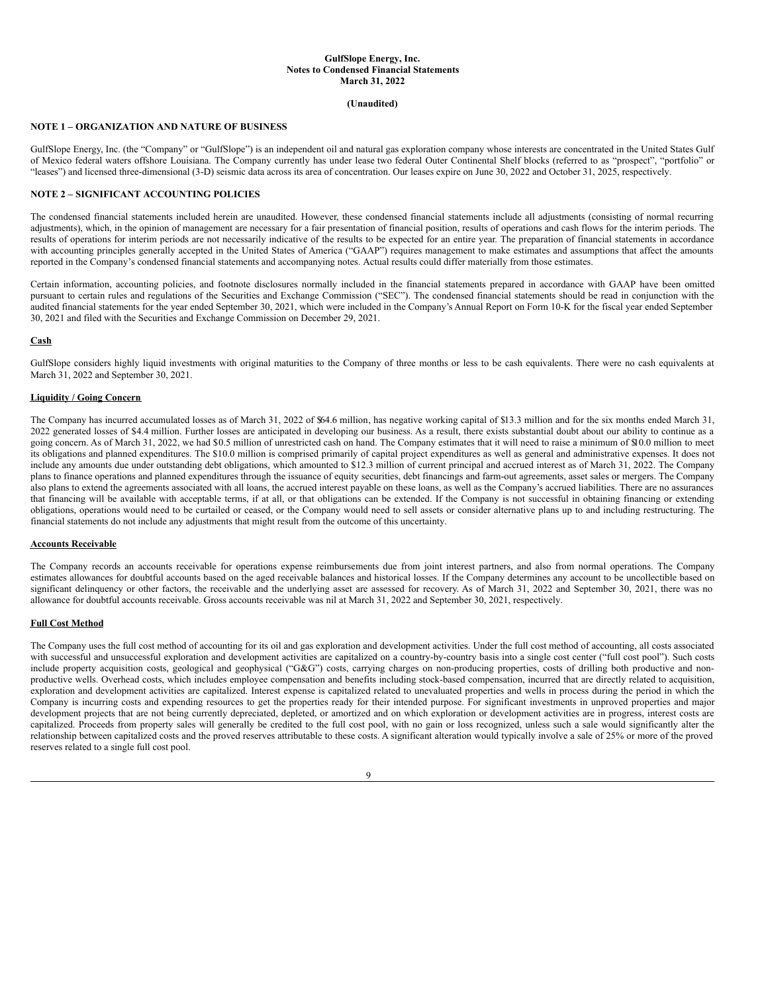#### **GulfSlope Energy, Inc. Notes to Condensed Financial Statements March 31, 2022**

## **(Unaudited)**

## **NOTE 1 – ORGANIZATION AND NATURE OF BUSINESS**

GulfSlope Energy, Inc. (the "Company" or "GulfSlope") is an independent oil and natural gas exploration company whose interests are concentrated in the United States Gulf of Mexico federal waters offshore Louisiana. The Company currently has under lease two federal Outer Continental Shelf blocks (referred to as "prospect", "portfolio" or "leases") and licensed three-dimensional (3-D) seismic data across its area of concentration. Our leases expire on June 30, 2022 and October 31, 2025, respectively.

## **NOTE 2 – SIGNIFICANT ACCOUNTING POLICIES**

The condensed financial statements included herein are unaudited. However, these condensed financial statements include all adjustments (consisting of normal recurring adjustments), which, in the opinion of management are necessary for a fair presentation of financial position, results of operations and cash flows for the interim periods. The results of operations for interim periods are not necessarily indicative of the results to be expected for an entire year. The preparation of financial statements in accordance with accounting principles generally accepted in the United States of America ("GAAP") requires management to make estimates and assumptions that affect the amounts reported in the Company's condensed financial statements and accompanying notes. Actual results could differ materially from those estimates.

Certain information, accounting policies, and footnote disclosures normally included in the financial statements prepared in accordance with GAAP have been omitted pursuant to certain rules and regulations of the Securities and Exchange Commission ("SEC"). The condensed financial statements should be read in conjunction with the audited financial statements for the year ended September 30, 2021, which were included in the Company's Annual Report on Form 10-K for the fiscal year ended September 30, 2021 and filed with the Securities and Exchange Commission on December 29, 2021.

## **Cash**

GulfSlope considers highly liquid investments with original maturities to the Company of three months or less to be cash equivalents. There were no cash equivalents at March 31, 2022 and September 30, 2021.

## **Liquidity / Going Concern**

The Company has incurred accumulated losses as of March 31, 2022 of \$64.6 million, has negative working capital of \$13.3 million and for the six months ended March 31, 2022 generated losses of \$4.4 million. Further losses are anticipated in developing our business. As a result, there exists substantial doubt about our ability to continue as a going concern. As of March 31, 2022, we had \$0.5 million of unrestricted cash on hand. The Company estimates that it will need to raise a minimum of \$10.0 million to meet its obligations and planned expenditures. The \$10.0 million is comprised primarily of capital project expenditures as well as general and administrative expenses. It does not include any amounts due under outstanding debt obligations, which amounted to \$12.3 million of current principal and accrued interest as of March 31, 2022. The Company plans to finance operations and planned expenditures through the issuance of equity securities, debt financings and farm-out agreements, asset sales or mergers. The Company also plans to extend the agreements associated with all loans, the accrued interest payable on these loans, as well as the Company's accrued liabilities. There are no assurances that financing will be available with acceptable terms, if at all, or that obligations can be extended. If the Company is not successful in obtaining financing or extending obligations, operations would need to be curtailed or ceased, or the Company would need to sell assets or consider alternative plans up to and including restructuring. The financial statements do not include any adjustments that might result from the outcome of this uncertainty.

## **Accounts Receivable**

The Company records an accounts receivable for operations expense reimbursements due from joint interest partners, and also from normal operations. The Company estimates allowances for doubtful accounts based on the aged receivable balances and historical losses. If the Company determines any account to be uncollectible based on significant delinquency or other factors, the receivable and the underlying asset are assessed for recovery. As of March 31, 2022 and September 30, 2021, there was no allowance for doubtful accounts receivable. Gross accounts receivable was nil at March 31, 2022 and September 30, 2021, respectively.

## **Full Cost Method**

The Company uses the full cost method of accounting for its oil and gas exploration and development activities. Under the full cost method of accounting, all costs associated with successful and unsuccessful exploration and development activities are capitalized on a country-by-country basis into a single cost center ("full cost pool"). Such costs include property acquisition costs, geological and geophysical ("G&G") costs, carrying charges on non-producing properties, costs of drilling both productive and nonproductive wells. Overhead costs, which includes employee compensation and benefits including stock-based compensation, incurred that are directly related to acquisition, exploration and development activities are capitalized. Interest expense is capitalized related to unevaluated properties and wells in process during the period in which the Company is incurring costs and expending resources to get the properties ready for their intended purpose. For significant investments in unproved properties and major development projects that are not being currently depreciated, depleted, or amortized and on which exploration or development activities are in progress, interest costs are capitalized. Proceeds from property sales will generally be credited to the full cost pool, with no gain or loss recognized, unless such a sale would significantly alter the relationship between capitalized costs and the proved reserves attributable to these costs. A significant alteration would typically involve a sale of 25% or more of the proved reserves related to a single full cost pool.

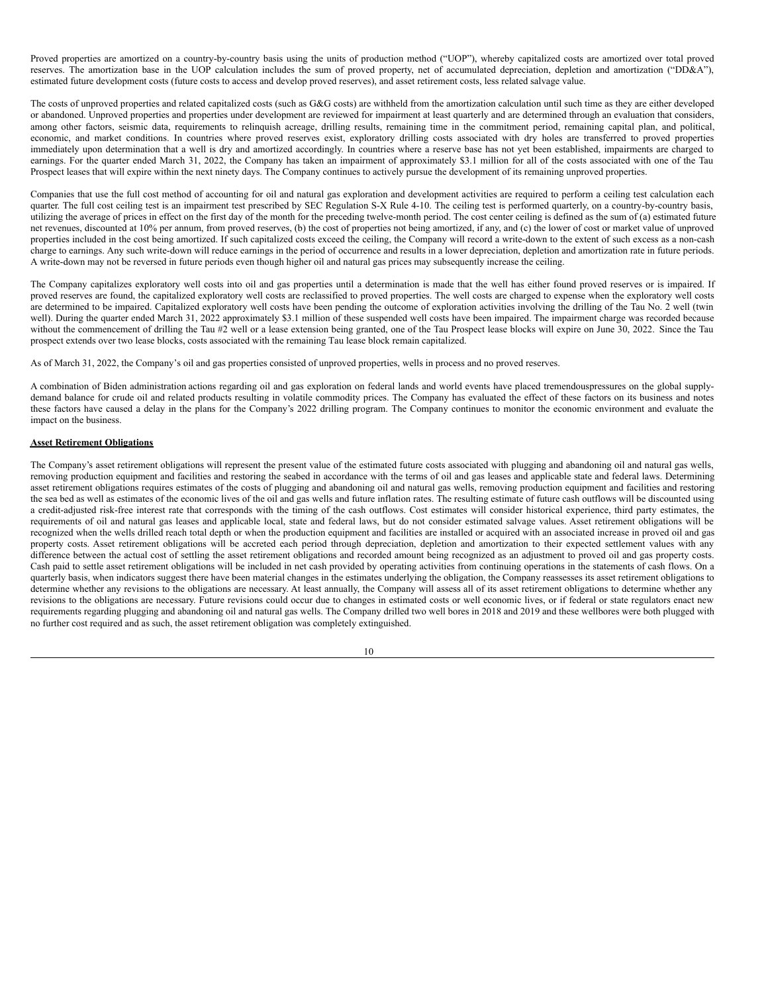Proved properties are amortized on a country-by-country basis using the units of production method ("UOP"), whereby capitalized costs are amortized over total proved reserves. The amortization base in the UOP calculation includes the sum of proved property, net of accumulated depreciation, depletion and amortization ("DD&A"), estimated future development costs (future costs to access and develop proved reserves), and asset retirement costs, less related salvage value.

The costs of unproved properties and related capitalized costs (such as G&G costs) are withheld from the amortization calculation until such time as they are either developed or abandoned. Unproved properties and properties under development are reviewed for impairment at least quarterly and are determined through an evaluation that considers, among other factors, seismic data, requirements to relinquish acreage, drilling results, remaining time in the commitment period, remaining capital plan, and political, economic, and market conditions. In countries where proved reserves exist, exploratory drilling costs associated with dry holes are transferred to proved properties immediately upon determination that a well is dry and amortized accordingly. In countries where a reserve base has not yet been established, impairments are charged to earnings. For the quarter ended March 31, 2022, the Company has taken an impairment of approximately \$3.1 million for all of the costs associated with one of the Tau Prospect leases that will expire within the next ninety days. The Company continues to actively pursue the development of its remaining unproved properties.

Companies that use the full cost method of accounting for oil and natural gas exploration and development activities are required to perform a ceiling test calculation each quarter. The full cost ceiling test is an impairment test prescribed by SEC Regulation S-X Rule 4-10. The ceiling test is performed quarterly, on a country-by-country basis, utilizing the average of prices in effect on the first day of the month for the preceding twelve-month period. The cost center ceiling is defined as the sum of (a) estimated future net revenues, discounted at 10% per annum, from proved reserves, (b) the cost of properties not being amortized, if any, and (c) the lower of cost or market value of unproved properties included in the cost being amortized. If such capitalized costs exceed the ceiling, the Company will record a write-down to the extent of such excess as a non-cash charge to earnings. Any such write-down will reduce earnings in the period of occurrence and results in a lower depreciation, depletion and amortization rate in future periods. A write-down may not be reversed in future periods even though higher oil and natural gas prices may subsequently increase the ceiling.

The Company capitalizes exploratory well costs into oil and gas properties until a determination is made that the well has either found proved reserves or is impaired. If proved reserves are found, the capitalized exploratory well costs are reclassified to proved properties. The well costs are charged to expense when the exploratory well costs are determined to be impaired. Capitalized exploratory well costs have been pending the outcome of exploration activities involving the drilling of the Tau No. 2 well (twin well). During the quarter ended March 31, 2022 approximately \$3.1 million of these suspended well costs have been impaired. The impairment charge was recorded because without the commencement of drilling the Tau #2 well or a lease extension being granted, one of the Tau Prospect lease blocks will expire on June 30, 2022. Since the Tau prospect extends over two lease blocks, costs associated with the remaining Tau lease block remain capitalized.

As of March 31, 2022, the Company's oil and gas properties consisted of unproved properties, wells in process and no proved reserves.

A combination of Biden administration actions regarding oil and gas exploration on federal lands and world events have placed tremendouspressures on the global supplydemand balance for crude oil and related products resulting in volatile commodity prices. The Company has evaluated the effect of these factors on its business and notes these factors have caused a delay in the plans for the Company's 2022 drilling program. The Company continues to monitor the economic environment and evaluate the impact on the business.

## **Asset Retirement Obligations**

The Company's asset retirement obligations will represent the present value of the estimated future costs associated with plugging and abandoning oil and natural gas wells, removing production equipment and facilities and restoring the seabed in accordance with the terms of oil and gas leases and applicable state and federal laws. Determining asset retirement obligations requires estimates of the costs of plugging and abandoning oil and natural gas wells, removing production equipment and facilities and restoring the sea bed as well as estimates of the economic lives of the oil and gas wells and future inflation rates. The resulting estimate of future cash outflows will be discounted using a credit-adjusted risk-free interest rate that corresponds with the timing of the cash outflows. Cost estimates will consider historical experience, third party estimates, the requirements of oil and natural gas leases and applicable local, state and federal laws, but do not consider estimated salvage values. Asset retirement obligations will be recognized when the wells drilled reach total depth or when the production equipment and facilities are installed or acquired with an associated increase in proved oil and gas property costs. Asset retirement obligations will be accreted each period through depreciation, depletion and amortization to their expected settlement values with any difference between the actual cost of settling the asset retirement obligations and recorded amount being recognized as an adjustment to proved oil and gas property costs. Cash paid to settle asset retirement obligations will be included in net cash provided by operating activities from continuing operations in the statements of cash flows. On a quarterly basis, when indicators suggest there have been material changes in the estimates underlying the obligation, the Company reassesses its asset retirement obligations to determine whether any revisions to the obligations are necessary. At least annually, the Company will assess all of its asset retirement obligations to determine whether any revisions to the obligations are necessary. Future revisions could occur due to changes in estimated costs or well economic lives, or if federal or state regulators enact new requirements regarding plugging and abandoning oil and natural gas wells. The Company drilled two well bores in 2018 and 2019 and these wellbores were both plugged with no further cost required and as such, the asset retirement obligation was completely extinguished.

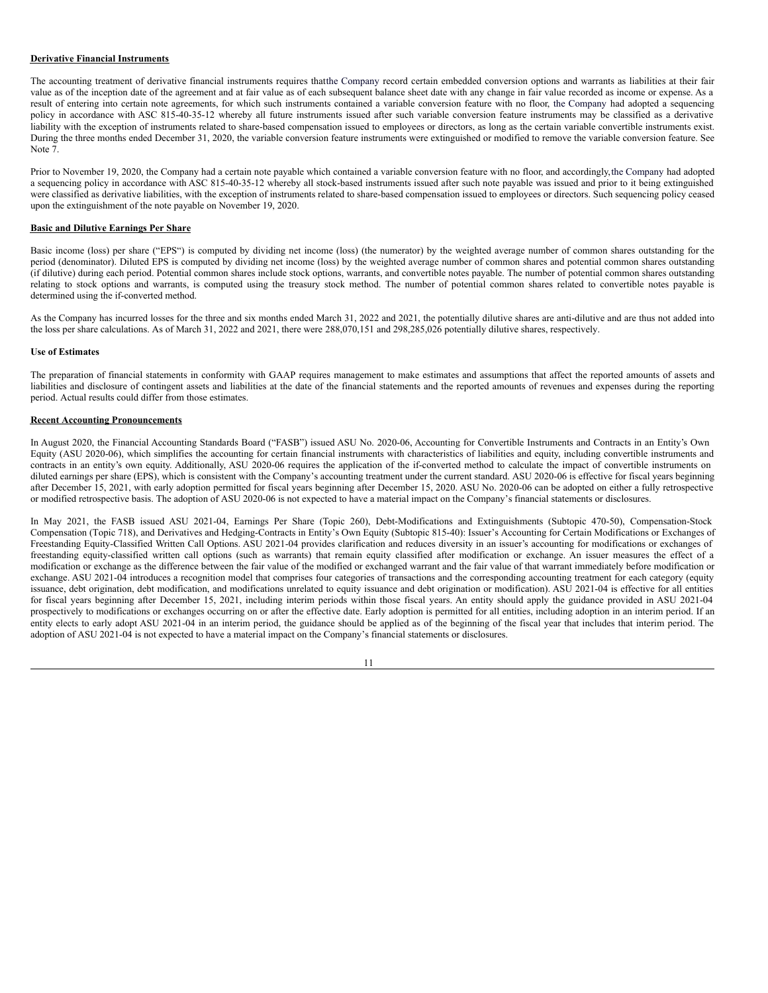## **Derivative Financial Instruments**

The accounting treatment of derivative financial instruments requires thatthe Company record certain embedded conversion options and warrants as liabilities at their fair value as of the inception date of the agreement and at fair value as of each subsequent balance sheet date with any change in fair value recorded as income or expense. As a result of entering into certain note agreements, for which such instruments contained a variable conversion feature with no floor, the Company had adopted a sequencing policy in accordance with ASC 815-40-35-12 whereby all future instruments issued after such variable conversion feature instruments may be classified as a derivative liability with the exception of instruments related to share-based compensation issued to employees or directors, as long as the certain variable convertible instruments exist. During the three months ended December 31, 2020, the variable conversion feature instruments were extinguished or modified to remove the variable conversion feature. See Note  $\overline{7}$ 

Prior to November 19, 2020, the Company had a certain note payable which contained a variable conversion feature with no floor, and accordingly, the Company had adopted a sequencing policy in accordance with ASC 815-40-35-12 whereby all stock-based instruments issued after such note payable was issued and prior to it being extinguished were classified as derivative liabilities, with the exception of instruments related to share-based compensation issued to employees or directors. Such sequencing policy ceased upon the extinguishment of the note payable on November 19, 2020.

## **Basic and Dilutive Earnings Per Share**

Basic income (loss) per share ("EPS") is computed by dividing net income (loss) (the numerator) by the weighted average number of common shares outstanding for the period (denominator). Diluted EPS is computed by dividing net income (loss) by the weighted average number of common shares and potential common shares outstanding (if dilutive) during each period. Potential common shares include stock options, warrants, and convertible notes payable. The number of potential common shares outstanding relating to stock options and warrants, is computed using the treasury stock method. The number of potential common shares related to convertible notes payable is determined using the if-converted method.

As the Company has incurred losses for the three and six months ended March 31, 2022 and 2021, the potentially dilutive shares are anti-dilutive and are thus not added into the loss per share calculations. As of March 31, 2022 and 2021, there were 288,070,151 and 298,285,026 potentially dilutive shares, respectively.

## **Use of Estimates**

The preparation of financial statements in conformity with GAAP requires management to make estimates and assumptions that affect the reported amounts of assets and liabilities and disclosure of contingent assets and liabilities at the date of the financial statements and the reported amounts of revenues and expenses during the reporting period. Actual results could differ from those estimates.

## **Recent Accounting Pronouncements**

In August 2020, the Financial Accounting Standards Board ("FASB") issued ASU No. 2020-06, Accounting for Convertible Instruments and Contracts in an Entity's Own Equity (ASU 2020-06), which simplifies the accounting for certain financial instruments with characteristics of liabilities and equity, including convertible instruments and contracts in an entity's own equity. Additionally, ASU 2020-06 requires the application of the if-converted method to calculate the impact of convertible instruments on diluted earnings per share (EPS), which is consistent with the Company's accounting treatment under the current standard. ASU 2020-06 is effective for fiscal years beginning after December 15, 2021, with early adoption permitted for fiscal years beginning after December 15, 2020. ASU No. 2020-06 can be adopted on either a fully retrospective or modified retrospective basis. The adoption of ASU 2020-06 is not expected to have a material impact on the Company's financial statements or disclosures.

In May 2021, the FASB issued ASU 2021-04, Earnings Per Share (Topic 260), Debt-Modifications and Extinguishments (Subtopic 470-50), Compensation-Stock Compensation (Topic 718), and Derivatives and Hedging-Contracts in Entity's Own Equity (Subtopic 815-40): Issuer's Accounting for Certain Modifications or Exchanges of Freestanding Equity-Classified Written Call Options. ASU 2021-04 provides clarification and reduces diversity in an issuer's accounting for modifications or exchanges of freestanding equity-classified written call options (such as warrants) that remain equity classified after modification or exchange. An issuer measures the effect of a modification or exchange as the difference between the fair value of the modified or exchanged warrant and the fair value of that warrant immediately before modification or exchange. ASU 2021-04 introduces a recognition model that comprises four categories of transactions and the corresponding accounting treatment for each category (equity issuance, debt origination, debt modification, and modifications unrelated to equity issuance and debt origination or modification). ASU 2021-04 is effective for all entities for fiscal years beginning after December 15, 2021, including interim periods within those fiscal years. An entity should apply the guidance provided in ASU 2021-04 prospectively to modifications or exchanges occurring on or after the effective date. Early adoption is permitted for all entities, including adoption in an interim period. If an entity elects to early adopt ASU 2021-04 in an interim period, the guidance should be applied as of the beginning of the fiscal year that includes that interim period. The adoption of ASU 2021-04 is not expected to have a material impact on the Company's financial statements or disclosures.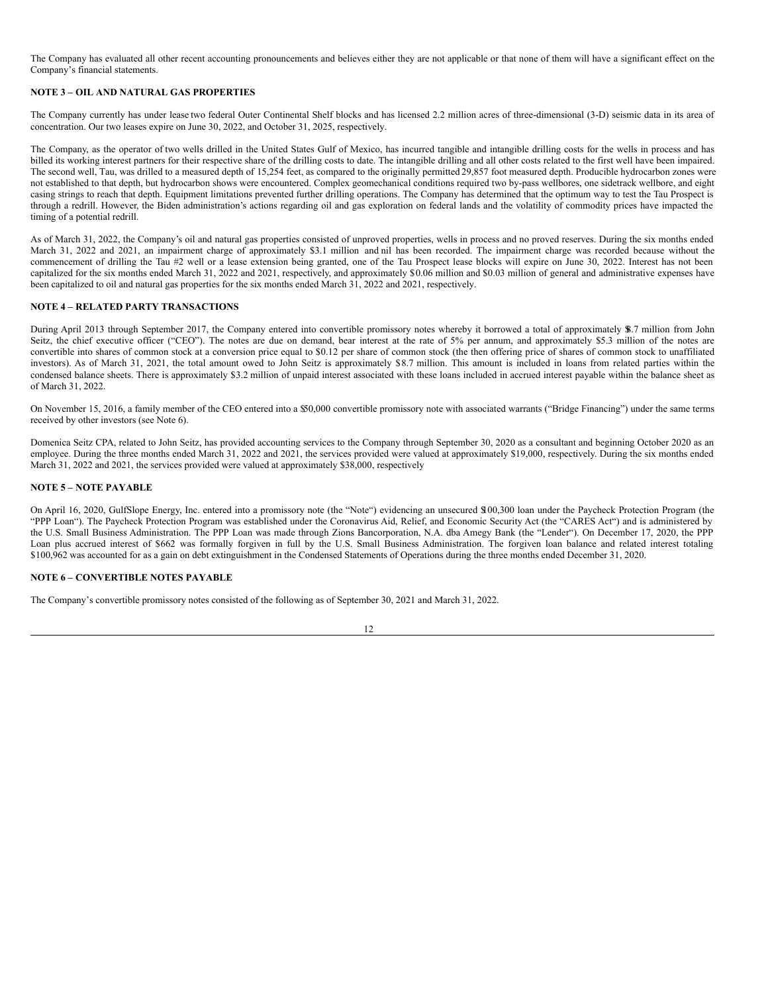<span id="page-11-0"></span>The Company has evaluated all other recent accounting pronouncements and believes either they are not applicable or that none of them will have a significant effect on the Company's financial statements.

## **NOTE 3 – OIL AND NATURAL GAS PROPERTIES**

The Company currently has under lease two federal Outer Continental Shelf blocks and has licensed 2.2 million acres of three-dimensional (3-D) seismic data in its area of concentration. Our two leases expire on June 30, 2022, and October 31, 2025, respectively.

The Company, as the operator of two wells drilled in the United States Gulf of Mexico, has incurred tangible and intangible drilling costs for the wells in process and has billed its working interest partners for their respective share of the drilling costs to date. The intangible drilling and all other costs related to the first well have been impaired. The second well, Tau, was drilled to a measured depth of 15,254 feet, as compared to the originally permitted 29,857 foot measured depth. Producible hydrocarbon zones were not established to that depth, but hydrocarbon shows were encountered. Complex geomechanical conditions required two by-pass wellbores, one sidetrack wellbore, and eight casing strings to reach that depth. Equipment limitations prevented further drilling operations. The Company has determined that the optimum way to test the Tau Prospect is through a redrill. However, the Biden administration's actions regarding oil and gas exploration on federal lands and the volatility of commodity prices have impacted the timing of a potential redrill.

As of March 31, 2022, the Company's oil and natural gas properties consisted of unproved properties, wells in process and no proved reserves. During the six months ended March 31, 2022 and 2021, an impairment charge of approximately \$3.1 million and nil has been recorded. The impairment charge was recorded because without the commencement of drilling the Tau #2 well or a lease extension being granted, one of the Tau Prospect lease blocks will expire on June 30, 2022. Interest has not been capitalized for the six months ended March 31, 2022 and 2021, respectively, and approximately \$0.06 million and \$0.03 million of general and administrative expenses have been capitalized to oil and natural gas properties for the six months ended March 31, 2022 and 2021, respectively.

## **NOTE 4 – RELATED PARTY TRANSACTIONS**

During April 2013 through September 2017, the Company entered into convertible promissory notes whereby it borrowed a total of approximately \$8.7 million from John Seitz, the chief executive officer ("CEO"). The notes are due on demand, bear interest at the rate of 5% per annum, and approximately \$5.3 million of the notes are convertible into shares of common stock at a conversion price equal to \$0.12 per share of common stock (the then offering price of shares of common stock to unaffiliated investors). As of March 31, 2021, the total amount owed to John Seitz is approximately \$8.7 million. This amount is included in loans from related parties within the condensed balance sheets. There is approximately \$3.2 million of unpaid interest associated with these loans included in accrued interest payable within the balance sheet as of March 31, 2022.

On November 15, 2016, a family member of the CEO entered into a \$50,000 convertible promissory note with associated warrants ("Bridge Financing") under the same terms received by other investors (see Note 6).

Domenica Seitz CPA, related to John Seitz, has provided accounting services to the Company through September 30, 2020 as a consultant and beginning October 2020 as an employee. During the three months ended March 31, 2022 and 2021, the services provided were valued at approximately \$19,000, respectively. During the six months ended March 31, 2022 and 2021, the services provided were valued at approximately \$38,000, respectively

## **NOTE 5 – NOTE PAYABLE**

On April 16, 2020, GulfSlope Energy, Inc. entered into a promissory note (the "Note") evidencing an unsecured \$100,300 loan under the Paycheck Protection Program (the "PPP Loan"). The Paycheck Protection Program was established under the Coronavirus Aid, Relief, and Economic Security Act (the "CARES Act") and is administered by the U.S. Small Business Administration. The PPP Loan was made through Zions Bancorporation, N.A. dba Amegy Bank (the "Lender"). On December 17, 2020, the PPP Loan plus accrued interest of \$662 was formally forgiven in full by the U.S. Small Business Administration. The forgiven loan balance and related interest totaling \$100,962 was accounted for as a gain on debt extinguishment in the Condensed Statements of Operations during the three months ended December 31, 2020.

## **NOTE 6 – CONVERTIBLE NOTES PAYABLE**

The Company's convertible promissory notes consisted of the following as of September 30, 2021 and March 31, 2022.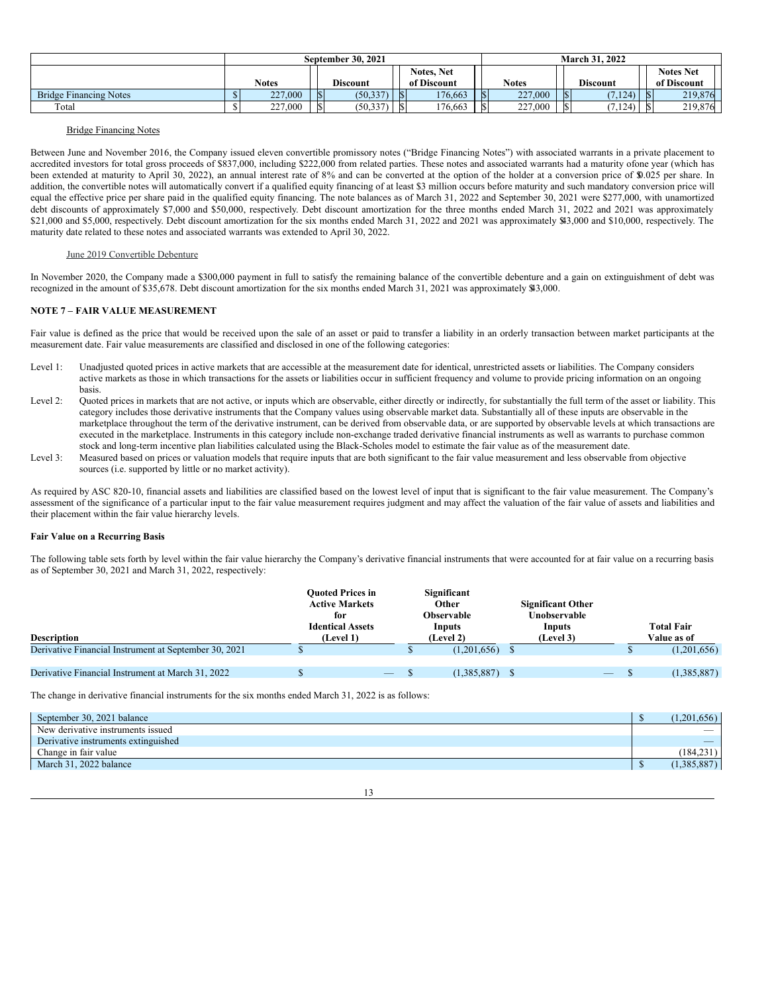|                               |              | September 30, 2021 |                 |              | <b>March 31, 2022</b> |     |              |              |                 |             |                  |  |  |
|-------------------------------|--------------|--------------------|-----------------|--------------|-----------------------|-----|--------------|--------------|-----------------|-------------|------------------|--|--|
|                               |              |                    |                 |              | <b>Notes, Net</b>     |     |              |              |                 |             | <b>Notes Net</b> |  |  |
|                               | <b>Notes</b> |                    | <b>Discount</b> |              | of Discount           |     | <b>Notes</b> |              | <b>Discount</b> | of Discount |                  |  |  |
| <b>Bridge Financing Notes</b> | 227,000      | $\mathbb{S}$       | (50, 337)       | $\mathbb{S}$ | 176,663               | D.  | 227,000      | $\sqrt{S}$   | (7, 124)        |             | 219,876          |  |  |
| Total                         | 227,000      | <sup>S</sup>       | (50, 337)       | -S           | 176,663               | ĽЪ. | 227,000      | $\mathbf{s}$ | (7,124)         |             | 219,876          |  |  |

## Bridge Financing Notes

Between June and November 2016, the Company issued eleven convertible promissory notes ("Bridge Financing Notes") with associated warrants in a private placement to accredited investors for total gross proceeds of \$837,000, including \$222,000 from related parties. These notes and associated warrants had a maturity ofone year (which has been extended at maturity to April 30, 2022), an annual interest rate of 8% and can be converted at the option of the holder at a conversion price of \$0.025 per share. In addition, the convertible notes will automatically convert if a qualified equity financing of at least \$3 million occurs before maturity and such mandatory conversion price will equal the effective price per share paid in the qualified equity financing. The note balances as of March 31, 2022 and September 30, 2021 were \$277,000, with unamortized debt discounts of approximately \$7,000 and \$50,000, respectively. Debt discount amortization for the three months ended March 31, 2022 and 2021 was approximately \$21,000 and \$5,000, respectively. Debt discount amortization for the six months ended March 31, 2022 and 2021 was approximately \$43,000 and \$10,000, respectively. The maturity date related to these notes and associated warrants was extended to April 30, 2022.

## June 2019 Convertible Debenture

In November 2020, the Company made a \$300,000 payment in full to satisfy the remaining balance of the convertible debenture and a gain on extinguishment of debt was recognized in the amount of \$35,678. Debt discount amortization for the six months ended March 31, 2021 was approximately \$43,000.

## **NOTE 7 – FAIR VALUE MEASUREMENT**

Fair value is defined as the price that would be received upon the sale of an asset or paid to transfer a liability in an orderly transaction between market participants at the measurement date. Fair value measurements are classified and disclosed in one of the following categories:

- Level 1: Unadjusted quoted prices in active markets that are accessible at the measurement date for identical, unrestricted assets or liabilities. The Company considers active markets as those in which transactions for the assets or liabilities occur in sufficient frequency and volume to provide pricing information on an ongoing basis.
- Level 2: Quoted prices in markets that are not active, or inputs which are observable, either directly or indirectly, for substantially the full term of the asset or liability. This category includes those derivative instruments that the Company values using observable market data. Substantially all of these inputs are observable in the marketplace throughout the term of the derivative instrument, can be derived from observable data, or are supported by observable levels at which transactions are executed in the marketplace. Instruments in this category include non-exchange traded derivative financial instruments as well as warrants to purchase common stock and long-term incentive plan liabilities calculated using the Black-Scholes model to estimate the fair value as of the measurement date.
- Level 3: Measured based on prices or valuation models that require inputs that are both significant to the fair value measurement and less observable from objective sources (i.e. supported by little or no market activity).

As required by ASC 820-10, financial assets and liabilities are classified based on the lowest level of input that is significant to the fair value measurement. The Company's assessment of the significance of a particular input to the fair value measurement requires judgment and may affect the valuation of the fair value of assets and liabilities and their placement within the fair value hierarchy levels.

## **Fair Value on a Recurring Basis**

The following table sets forth by level within the fair value hierarchy the Company's derivative financial instruments that were accounted for at fair value on a recurring basis as of September 30, 2021 and March 31, 2022, respectively:

| <b>Description</b>                                    | <b>Ouoted Prices in</b><br><b>Active Markets</b><br>for<br><b>Identical Assets</b><br>(Level 1) |                          | Significant<br>Other<br><b>Observable</b><br>Inputs<br>(Level 2) | <b>Significant Other</b><br><b>Unobservable</b><br>Inputs<br>(Level 3) | <b>Total Fair</b><br>Value as of |
|-------------------------------------------------------|-------------------------------------------------------------------------------------------------|--------------------------|------------------------------------------------------------------|------------------------------------------------------------------------|----------------------------------|
| Derivative Financial Instrument at September 30, 2021 |                                                                                                 |                          | (1,201,656)                                                      |                                                                        | (1,201,656)                      |
| Derivative Financial Instrument at March 31, 2022     |                                                                                                 | $\overline{\phantom{m}}$ | (1.385.887)                                                      | $\overline{\phantom{m}}$                                               | (1,385,887)                      |

The change in derivative financial instruments for the six months ended March 31, 2022 is as follows:

| September 30, 2021 balance          | (1.201.656) |
|-------------------------------------|-------------|
| New derivative instruments issued   |             |
| Derivative instruments extinguished |             |
| Change in fair value                | (184, 231)  |
| March 31, 2022 balance              | (1,385,887) |

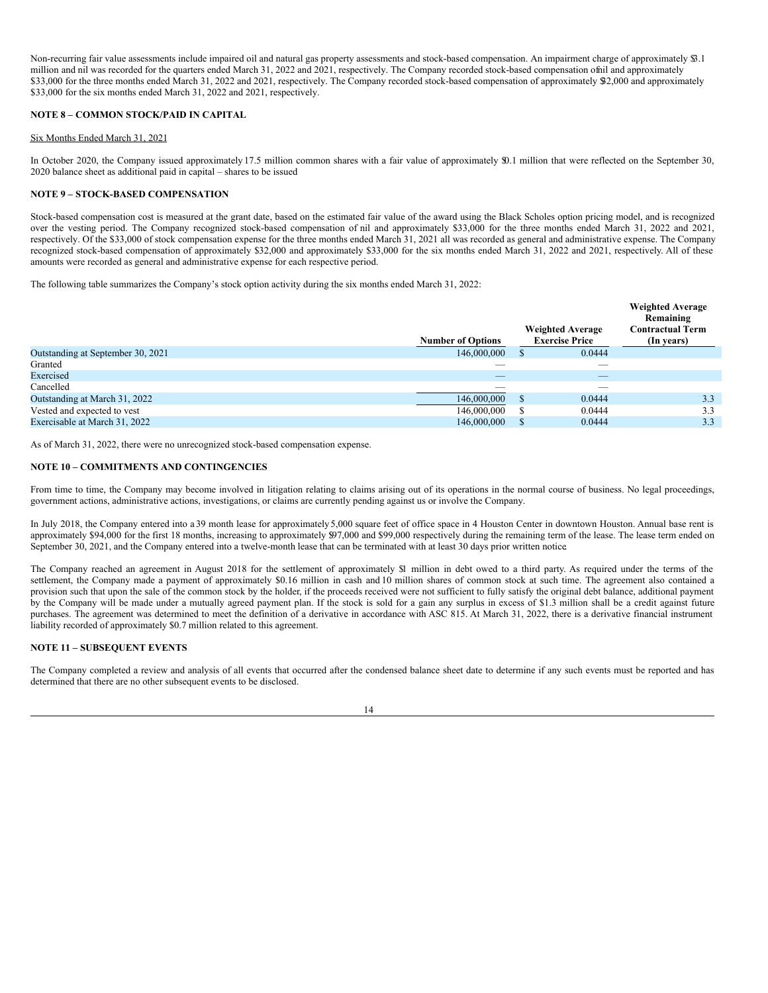Non-recurring fair value assessments include impaired oil and natural gas property assessments and stock-based compensation. An impairment charge of approximately \$3.1 million and nil was recorded for the quarters ended March 31, 2022 and 2021, respectively. The Company recorded stock-based compensation of il and approximately \$33,000 for the three months ended March 31, 2022 and 2021, respectively. The Company recorded stock-based compensation of approximately \$2,000 and approximately \$33,000 for the six months ended March 31, 2022 and 2021, respectively.

## **NOTE 8 – COMMON STOCK/PAID IN CAPITAL**

## Six Months Ended March 31, 2021

In October 2020, the Company issued approximately 17.5 million common shares with a fair value of approximately \$0.1 million that were reflected on the September 30, 2020 balance sheet as additional paid in capital – shares to be issued

## **NOTE 9 – STOCK-BASED COMPENSATION**

Stock-based compensation cost is measured at the grant date, based on the estimated fair value of the award using the Black Scholes option pricing model, and is recognized over the vesting period. The Company recognized stock-based compensation of nil and approximately \$33,000 for the three months ended March 31, 2022 and 2021, respectively. Of the \$33,000 of stock compensation expense for the three months ended March 31, 2021 all was recorded as general and administrative expense. The Company recognized stock-based compensation of approximately \$32,000 and approximately \$33,000 for the six months ended March 31, 2022 and 2021, respectively. All of these amounts were recorded as general and administrative expense for each respective period.

The following table summarizes the Company's stock option activity during the six months ended March 31, 2022:

|                                   | <b>Number of Options</b> |   | <b>Weighted Average</b><br><b>Exercise Price</b> | <b>Weighted Average</b><br>Remaining<br><b>Contractual Term</b><br>(In years) |
|-----------------------------------|--------------------------|---|--------------------------------------------------|-------------------------------------------------------------------------------|
| Outstanding at September 30, 2021 | 146,000,000              |   | 0.0444                                           |                                                                               |
| Granted                           |                          |   |                                                  |                                                                               |
| Exercised                         |                          |   | _                                                |                                                                               |
| Cancelled                         |                          |   |                                                  |                                                                               |
| Outstanding at March 31, 2022     | 146,000,000              |   | 0.0444                                           | 3.3                                                                           |
| Vested and expected to vest       | 146,000,000              |   | 0.0444                                           | 3.3                                                                           |
| Exercisable at March 31, 2022     | 146,000,000              | S | 0.0444                                           | 3.3                                                                           |

As of March 31, 2022, there were no unrecognized stock-based compensation expense.

## **NOTE 10 – COMMITMENTS AND CONTINGENCIES**

From time to time, the Company may become involved in litigation relating to claims arising out of its operations in the normal course of business. No legal proceedings, government actions, administrative actions, investigations, or claims are currently pending against us or involve the Company.

In July 2018, the Company entered into a 39 month lease for approximately 5,000 square feet of office space in 4 Houston Center in downtown Houston. Annual base rent is approximately \$94,000 for the first 18 months, increasing to approximately \$97,000 and \$99,000 respectively during the remaining term of the lease. The lease term ended on September 30, 2021, and the Company entered into a twelve-month lease that can be terminated with at least 30 days prior written notice.

The Company reached an agreement in August 2018 for the settlement of approximately \$1 million in debt owed to a third party. As required under the terms of the settlement, the Company made a payment of approximately \$0.16 million in cash and 10 million shares of common stock at such time. The agreement also contained a provision such that upon the sale of the common stock by the holder, if the proceeds received were not sufficient to fully satisfy the original debt balance, additional payment by the Company will be made under a mutually agreed payment plan. If the stock is sold for a gain any surplus in excess of \$1.3 million shall be a credit against future purchases. The agreement was determined to meet the definition of a derivative in accordance with ASC 815. At March 31, 2022, there is a derivative financial instrument liability recorded of approximately \$0.7 million related to this agreement.

## **NOTE 11 – SUBSEQUENT EVENTS**

The Company completed a review and analysis of all events that occurred after the condensed balance sheet date to determine if any such events must be reported and has determined that there are no other subsequent events to be disclosed.

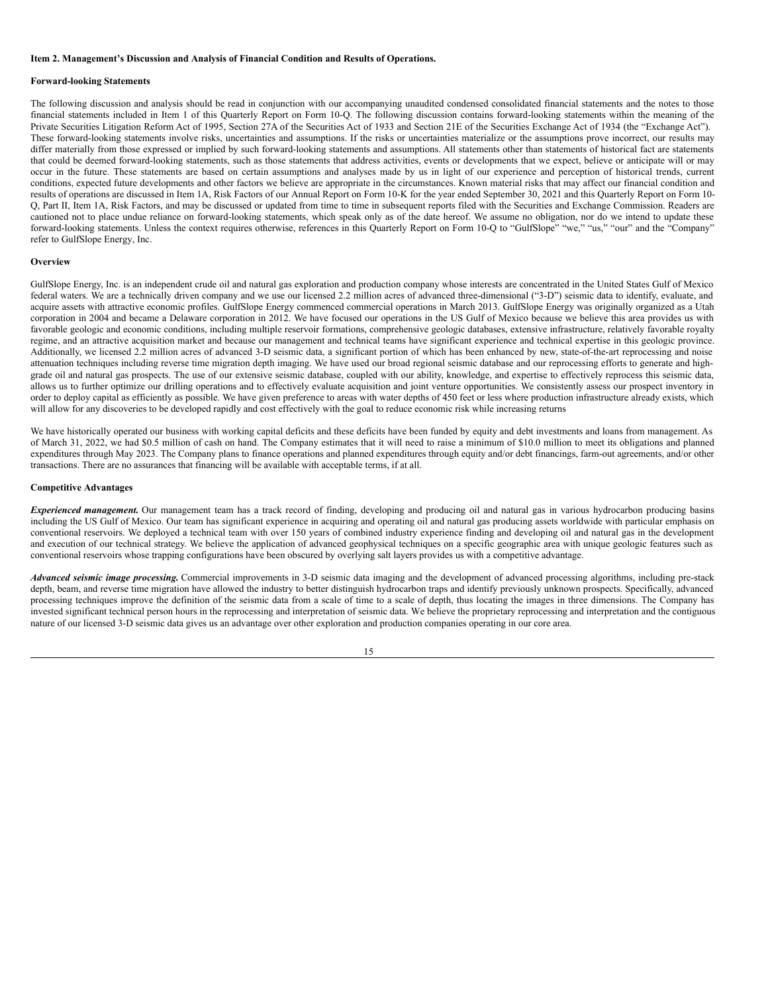#### **Item 2. Management's Discussion and Analysis of Financial Condition and Results of Operations.**

#### **Forward-looking Statements**

The following discussion and analysis should be read in conjunction with our accompanying unaudited condensed consolidated financial statements and the notes to those financial statements included in Item 1 of this Quarterly Report on Form 10-Q. The following discussion contains forward-looking statements within the meaning of the Private Securities Litigation Reform Act of 1995, Section 27A of the Securities Act of 1933 and Section 21E of the Securities Exchange Act of 1934 (the "Exchange Act"). These forward-looking statements involve risks, uncertainties and assumptions. If the risks or uncertainties materialize or the assumptions prove incorrect, our results may differ materially from those expressed or implied by such forward-looking statements and assumptions. All statements other than statements of historical fact are statements that could be deemed forward-looking statements, such as those statements that address activities, events or developments that we expect, believe or anticipate will or may occur in the future. These statements are based on certain assumptions and analyses made by us in light of our experience and perception of historical trends, current conditions, expected future developments and other factors we believe are appropriate in the circumstances. Known material risks that may affect our financial condition and results of operations are discussed in Item 1A, Risk Factors of our Annual Report on Form 10-K for the year ended September 30, 2021 and this Quarterly Report on Form 10- Q, Part II, Item 1A, Risk Factors, and may be discussed or updated from time to time in subsequent reports filed with the Securities and Exchange Commission. Readers are cautioned not to place undue reliance on forward-looking statements, which speak only as of the date hereof. We assume no obligation, nor do we intend to update these forward-looking statements. Unless the context requires otherwise, references in this Quarterly Report on Form 10-Q to "GulfSlope" "we," "us," "our" and the "Company" refer to GulfSlope Energy, Inc.

## **Overview**

GulfSlope Energy, Inc. is an independent crude oil and natural gas exploration and production company whose interests are concentrated in the United States Gulf of Mexico federal waters. We are a technically driven company and we use our licensed 2.2 million acres of advanced three-dimensional ("3-D") seismic data to identify, evaluate, and acquire assets with attractive economic profiles. GulfSlope Energy commenced commercial operations in March 2013. GulfSlope Energy was originally organized as a Utah corporation in 2004 and became a Delaware corporation in 2012. We have focused our operations in the US Gulf of Mexico because we believe this area provides us with favorable geologic and economic conditions, including multiple reservoir formations, comprehensive geologic databases, extensive infrastructure, relatively favorable royalty regime, and an attractive acquisition market and because our management and technical teams have significant experience and technical expertise in this geologic province. Additionally, we licensed 2.2 million acres of advanced 3-D seismic data, a significant portion of which has been enhanced by new, state-of-the-art reprocessing and noise attenuation techniques including reverse time migration depth imaging. We have used our broad regional seismic database and our reprocessing efforts to generate and highgrade oil and natural gas prospects. The use of our extensive seismic database, coupled with our ability, knowledge, and expertise to effectively reprocess this seismic data, allows us to further optimize our drilling operations and to effectively evaluate acquisition and joint venture opportunities. We consistently assess our prospect inventory in order to deploy capital as efficiently as possible. We have given preference to areas with water depths of 450 feet or less where production infrastructure already exists, which will allow for any discoveries to be developed rapidly and cost effectively with the goal to reduce economic risk while increasing returns

We have historically operated our business with working capital deficits and these deficits have been funded by equity and debt investments and loans from management. As of March 31, 2022, we had \$0.5 million of cash on hand. The Company estimates that it will need to raise a minimum of \$10.0 million to meet its obligations and planned expenditures through May 2023. The Company plans to finance operations and planned expenditures through equity and/or debt financings, farm-out agreements, and/or other transactions. There are no assurances that financing will be available with acceptable terms, if at all.

## **Competitive Advantages**

*Experienced management***.** Our management team has a track record of finding, developing and producing oil and natural gas in various hydrocarbon producing basins including the US Gulf of Mexico. Our team has significant experience in acquiring and operating oil and natural gas producing assets worldwide with particular emphasis on conventional reservoirs. We deployed a technical team with over 150 years of combined industry experience finding and developing oil and natural gas in the development and execution of our technical strategy. We believe the application of advanced geophysical techniques on a specific geographic area with unique geologic features such as conventional reservoirs whose trapping configurations have been obscured by overlying salt layers provides us with a competitive advantage.

*Advanced seismic image processing***.** Commercial improvements in 3-D seismic data imaging and the development of advanced processing algorithms, including pre-stack depth, beam, and reverse time migration have allowed the industry to better distinguish hydrocarbon traps and identify previously unknown prospects. Specifically, advanced processing techniques improve the definition of the seismic data from a scale of time to a scale of depth, thus locating the images in three dimensions. The Company has invested significant technical person hours in the reprocessing and interpretation of seismic data. We believe the proprietary reprocessing and interpretation and the contiguous nature of our licensed 3-D seismic data gives us an advantage over other exploration and production companies operating in our core area.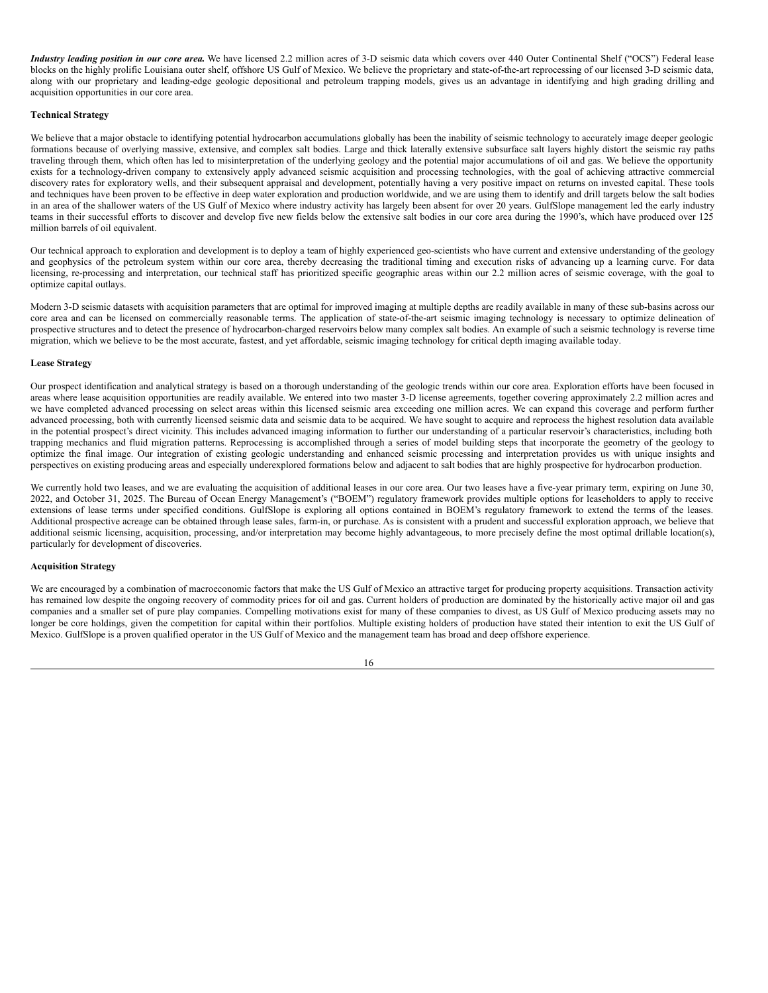*Industry leading position in our core area***.** We have licensed 2.2 million acres of 3-D seismic data which covers over 440 Outer Continental Shelf ("OCS") Federal lease blocks on the highly prolific Louisiana outer shelf, offshore US Gulf of Mexico. We believe the proprietary and state-of-the-art reprocessing of our licensed 3-D seismic data, along with our proprietary and leading-edge geologic depositional and petroleum trapping models, gives us an advantage in identifying and high grading drilling and acquisition opportunities in our core area.

## **Technical Strategy**

We believe that a major obstacle to identifying potential hydrocarbon accumulations globally has been the inability of seismic technology to accurately image deeper geologic formations because of overlying massive, extensive, and complex salt bodies. Large and thick laterally extensive subsurface salt layers highly distort the seismic ray paths traveling through them, which often has led to misinterpretation of the underlying geology and the potential major accumulations of oil and gas. We believe the opportunity exists for a technology-driven company to extensively apply advanced seismic acquisition and processing technologies, with the goal of achieving attractive commercial discovery rates for exploratory wells, and their subsequent appraisal and development, potentially having a very positive impact on returns on invested capital. These tools and techniques have been proven to be effective in deep water exploration and production worldwide, and we are using them to identify and drill targets below the salt bodies in an area of the shallower waters of the US Gulf of Mexico where industry activity has largely been absent for over 20 years. GulfSlope management led the early industry teams in their successful efforts to discover and develop five new fields below the extensive salt bodies in our core area during the 1990's, which have produced over 125 million barrels of oil equivalent.

Our technical approach to exploration and development is to deploy a team of highly experienced geo-scientists who have current and extensive understanding of the geology and geophysics of the petroleum system within our core area, thereby decreasing the traditional timing and execution risks of advancing up a learning curve. For data licensing, re-processing and interpretation, our technical staff has prioritized specific geographic areas within our 2.2 million acres of seismic coverage, with the goal to optimize capital outlays.

Modern 3-D seismic datasets with acquisition parameters that are optimal for improved imaging at multiple depths are readily available in many of these sub-basins across our core area and can be licensed on commercially reasonable terms. The application of state-of-the-art seismic imaging technology is necessary to optimize delineation of prospective structures and to detect the presence of hydrocarbon-charged reservoirs below many complex salt bodies. An example of such a seismic technology is reverse time migration, which we believe to be the most accurate, fastest, and yet affordable, seismic imaging technology for critical depth imaging available today.

## **Lease Strategy**

Our prospect identification and analytical strategy is based on a thorough understanding of the geologic trends within our core area. Exploration efforts have been focused in areas where lease acquisition opportunities are readily available. We entered into two master 3-D license agreements, together covering approximately 2.2 million acres and we have completed advanced processing on select areas within this licensed seismic area exceeding one million acres. We can expand this coverage and perform further advanced processing, both with currently licensed seismic data and seismic data to be acquired. We have sought to acquire and reprocess the highest resolution data available in the potential prospect's direct vicinity. This includes advanced imaging information to further our understanding of a particular reservoir's characteristics, including both trapping mechanics and fluid migration patterns. Reprocessing is accomplished through a series of model building steps that incorporate the geometry of the geology to optimize the final image. Our integration of existing geologic understanding and enhanced seismic processing and interpretation provides us with unique insights and perspectives on existing producing areas and especially underexplored formations below and adjacent to salt bodies that are highly prospective for hydrocarbon production.

We currently hold two leases, and we are evaluating the acquisition of additional leases in our core area. Our two leases have a five-year primary term, expiring on June 30, 2022, and October 31, 2025. The Bureau of Ocean Energy Management's ("BOEM") regulatory framework provides multiple options for leaseholders to apply to receive extensions of lease terms under specified conditions. GulfSlope is exploring all options contained in BOEM's regulatory framework to extend the terms of the leases. Additional prospective acreage can be obtained through lease sales, farm-in, or purchase. As is consistent with a prudent and successful exploration approach, we believe that additional seismic licensing, acquisition, processing, and/or interpretation may become highly advantageous, to more precisely define the most optimal drillable location(s), particularly for development of discoveries.

## **Acquisition Strategy**

We are encouraged by a combination of macroeconomic factors that make the US Gulf of Mexico an attractive target for producing property acquisitions. Transaction activity has remained low despite the ongoing recovery of commodity prices for oil and gas. Current holders of production are dominated by the historically active major oil and gas companies and a smaller set of pure play companies. Compelling motivations exist for many of these companies to divest, as US Gulf of Mexico producing assets may no longer be core holdings, given the competition for capital within their portfolios. Multiple existing holders of production have stated their intention to exit the US Gulf of Mexico. GulfSlope is a proven qualified operator in the US Gulf of Mexico and the management team has broad and deep offshore experience.

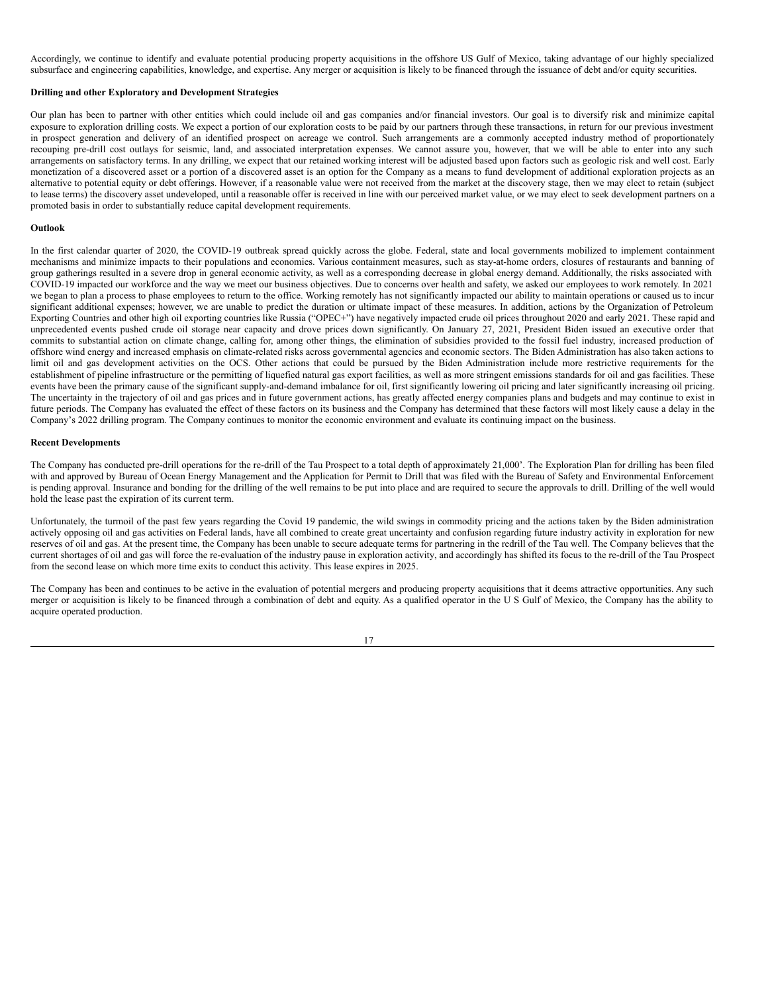Accordingly, we continue to identify and evaluate potential producing property acquisitions in the offshore US Gulf of Mexico, taking advantage of our highly specialized subsurface and engineering capabilities, knowledge, and expertise. Any merger or acquisition is likely to be financed through the issuance of debt and/or equity securities.

## **Drilling and other Exploratory and Development Strategies**

Our plan has been to partner with other entities which could include oil and gas companies and/or financial investors. Our goal is to diversify risk and minimize capital exposure to exploration drilling costs. We expect a portion of our exploration costs to be paid by our partners through these transactions, in return for our previous investment in prospect generation and delivery of an identified prospect on acreage we control. Such arrangements are a commonly accepted industry method of proportionately recouping pre-drill cost outlays for seismic, land, and associated interpretation expenses. We cannot assure you, however, that we will be able to enter into any such arrangements on satisfactory terms. In any drilling, we expect that our retained working interest will be adjusted based upon factors such as geologic risk and well cost. Early monetization of a discovered asset or a portion of a discovered asset is an option for the Company as a means to fund development of additional exploration projects as an alternative to potential equity or debt offerings. However, if a reasonable value were not received from the market at the discovery stage, then we may elect to retain (subject to lease terms) the discovery asset undeveloped, until a reasonable offer is received in line with our perceived market value, or we may elect to seek development partners on a promoted basis in order to substantially reduce capital development requirements.

## **Outlook**

In the first calendar quarter of 2020, the COVID-19 outbreak spread quickly across the globe. Federal, state and local governments mobilized to implement containment mechanisms and minimize impacts to their populations and economies. Various containment measures, such as stay-at-home orders, closures of restaurants and banning of group gatherings resulted in a severe drop in general economic activity, as well as a corresponding decrease in global energy demand. Additionally, the risks associated with COVID-19 impacted our workforce and the way we meet our business objectives. Due to concerns over health and safety, we asked our employees to work remotely. In 2021 we began to plan a process to phase employees to return to the office. Working remotely has not significantly impacted our ability to maintain operations or caused us to incur significant additional expenses; however, we are unable to predict the duration or ultimate impact of these measures. In addition, actions by the Organization of Petroleum Exporting Countries and other high oil exporting countries like Russia ("OPEC+") have negatively impacted crude oil prices throughout 2020 and early 2021. These rapid and unprecedented events pushed crude oil storage near capacity and drove prices down significantly. On January 27, 2021, President Biden issued an executive order that commits to substantial action on climate change, calling for, among other things, the elimination of subsidies provided to the fossil fuel industry, increased production of offshore wind energy and increased emphasis on climate-related risks across governmental agencies and economic sectors. The Biden Administration has also taken actions to limit oil and gas development activities on the OCS. Other actions that could be pursued by the Biden Administration include more restrictive requirements for the establishment of pipeline infrastructure or the permitting of liquefied natural gas export facilities, as well as more stringent emissions standards for oil and gas facilities. These events have been the primary cause of the significant supply-and-demand imbalance for oil, first significantly lowering oil pricing and later significantly increasing oil pricing. The uncertainty in the trajectory of oil and gas prices and in future government actions, has greatly affected energy companies plans and budgets and may continue to exist in future periods. The Company has evaluated the effect of these factors on its business and the Company has determined that these factors will most likely cause a delay in the Company's 2022 drilling program. The Company continues to monitor the economic environment and evaluate its continuing impact on the business.

#### **Recent Developments**

The Company has conducted pre-drill operations for the re-drill of the Tau Prospect to a total depth of approximately 21,000'. The Exploration Plan for drilling has been filed with and approved by Bureau of Ocean Energy Management and the Application for Permit to Drill that was filed with the Bureau of Safety and Environmental Enforcement is pending approval. Insurance and bonding for the drilling of the well remains to be put into place and are required to secure the approvals to drill. Drilling of the well would hold the lease past the expiration of its current term.

Unfortunately, the turmoil of the past few years regarding the Covid 19 pandemic, the wild swings in commodity pricing and the actions taken by the Biden administration actively opposing oil and gas activities on Federal lands, have all combined to create great uncertainty and confusion regarding future industry activity in exploration for new reserves of oil and gas. At the present time, the Company has been unable to secure adequate terms for partnering in the redrill of the Tau well. The Company believes that the current shortages of oil and gas will force the re-evaluation of the industry pause in exploration activity, and accordingly has shifted its focus to the re-drill of the Tau Prospect from the second lease on which more time exits to conduct this activity. This lease expires in 2025.

The Company has been and continues to be active in the evaluation of potential mergers and producing property acquisitions that it deems attractive opportunities. Any such merger or acquisition is likely to be financed through a combination of debt and equity. As a qualified operator in the U S Gulf of Mexico, the Company has the ability to acquire operated production.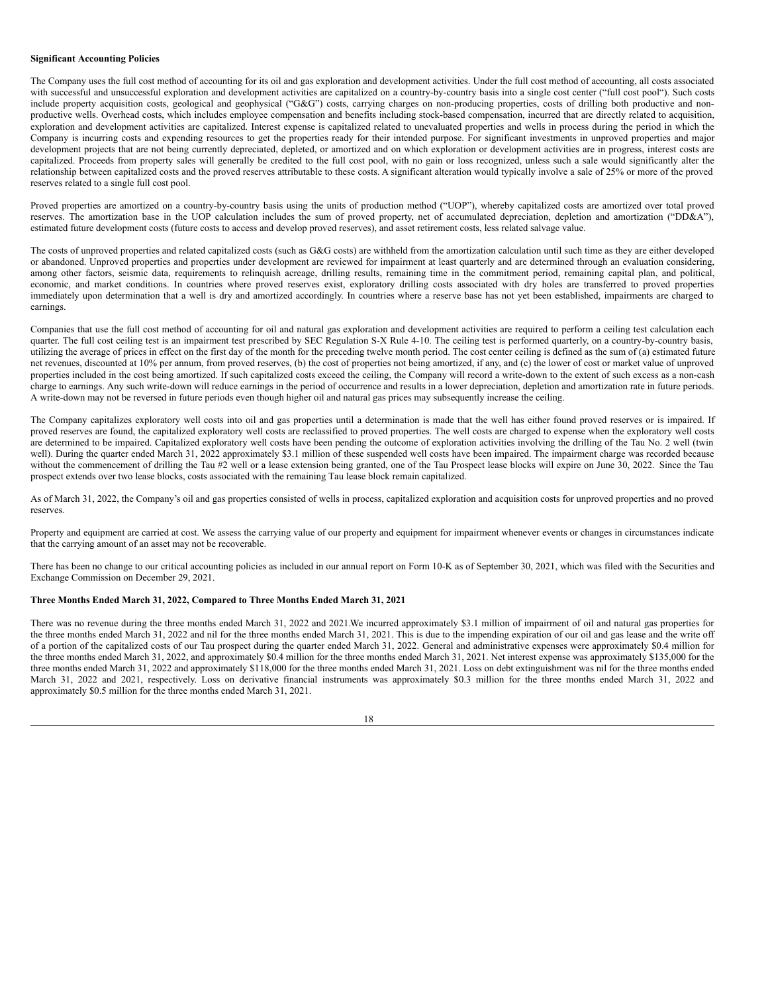#### **Significant Accounting Policies**

The Company uses the full cost method of accounting for its oil and gas exploration and development activities. Under the full cost method of accounting, all costs associated with successful and unsuccessful exploration and development activities are capitalized on a country-by-country basis into a single cost center ("full cost pool"). Such costs include property acquisition costs, geological and geophysical ("G&G") costs, carrying charges on non-producing properties, costs of drilling both productive and nonproductive wells. Overhead costs, which includes employee compensation and benefits including stock-based compensation, incurred that are directly related to acquisition, exploration and development activities are capitalized. Interest expense is capitalized related to unevaluated properties and wells in process during the period in which the Company is incurring costs and expending resources to get the properties ready for their intended purpose. For significant investments in unproved properties and major development projects that are not being currently depreciated, depleted, or amortized and on which exploration or development activities are in progress, interest costs are capitalized. Proceeds from property sales will generally be credited to the full cost pool, with no gain or loss recognized, unless such a sale would significantly alter the relationship between capitalized costs and the proved reserves attributable to these costs. A significant alteration would typically involve a sale of 25% or more of the proved reserves related to a single full cost pool.

Proved properties are amortized on a country-by-country basis using the units of production method ("UOP"), whereby capitalized costs are amortized over total proved reserves. The amortization base in the UOP calculation includes the sum of proved property, net of accumulated depreciation, depletion and amortization ("DD&A"), estimated future development costs (future costs to access and develop proved reserves), and asset retirement costs, less related salvage value.

The costs of unproved properties and related capitalized costs (such as G&G costs) are withheld from the amortization calculation until such time as they are either developed or abandoned. Unproved properties and properties under development are reviewed for impairment at least quarterly and are determined through an evaluation considering, among other factors, seismic data, requirements to relinquish acreage, drilling results, remaining time in the commitment period, remaining capital plan, and political, economic, and market conditions. In countries where proved reserves exist, exploratory drilling costs associated with dry holes are transferred to proved properties immediately upon determination that a well is dry and amortized accordingly. In countries where a reserve base has not yet been established, impairments are charged to earnings.

Companies that use the full cost method of accounting for oil and natural gas exploration and development activities are required to perform a ceiling test calculation each quarter. The full cost ceiling test is an impairment test prescribed by SEC Regulation S-X Rule 4-10. The ceiling test is performed quarterly, on a country-by-country basis, utilizing the average of prices in effect on the first day of the month for the preceding twelve month period. The cost center ceiling is defined as the sum of (a) estimated future net revenues, discounted at 10% per annum, from proved reserves, (b) the cost of properties not being amortized, if any, and (c) the lower of cost or market value of unproved properties included in the cost being amortized. If such capitalized costs exceed the ceiling, the Company will record a write-down to the extent of such excess as a non-cash charge to earnings. Any such write-down will reduce earnings in the period of occurrence and results in a lower depreciation, depletion and amortization rate in future periods. A write-down may not be reversed in future periods even though higher oil and natural gas prices may subsequently increase the ceiling.

The Company capitalizes exploratory well costs into oil and gas properties until a determination is made that the well has either found proved reserves or is impaired. If proved reserves are found, the capitalized exploratory well costs are reclassified to proved properties. The well costs are charged to expense when the exploratory well costs are determined to be impaired. Capitalized exploratory well costs have been pending the outcome of exploration activities involving the drilling of the Tau No. 2 well (twin well). During the quarter ended March 31, 2022 approximately \$3.1 million of these suspended well costs have been impaired. The impairment charge was recorded because without the commencement of drilling the Tau #2 well or a lease extension being granted, one of the Tau Prospect lease blocks will expire on June 30, 2022. Since the Tau prospect extends over two lease blocks, costs associated with the remaining Tau lease block remain capitalized.

As of March 31, 2022, the Company's oil and gas properties consisted of wells in process, capitalized exploration and acquisition costs for unproved properties and no proved reserves.

Property and equipment are carried at cost. We assess the carrying value of our property and equipment for impairment whenever events or changes in circumstances indicate that the carrying amount of an asset may not be recoverable.

There has been no change to our critical accounting policies as included in our annual report on Form 10-K as of September 30, 2021, which was filed with the Securities and Exchange Commission on December 29, 2021.

## **Three Months Ended March 31, 2022, Compared to Three Months Ended March 31, 2021**

There was no revenue during the three months ended March 31, 2022 and 2021.We incurred approximately \$3.1 million of impairment of oil and natural gas properties for the three months ended March 31, 2022 and nil for the three months ended March 31, 2021. This is due to the impending expiration of our oil and gas lease and the write off of a portion of the capitalized costs of our Tau prospect during the quarter ended March 31, 2022. General and administrative expenses were approximately \$0.4 million for the three months ended March 31, 2022, and approximately \$0.4 million for the three months ended March 31, 2021. Net interest expense was approximately \$135,000 for the three months ended March 31, 2022 and approximately \$118,000 for the three months ended March 31, 2021. Loss on debt extinguishment was nil for the three months ended March 31, 2022 and 2021, respectively. Loss on derivative financial instruments was approximately \$0.3 million for the three months ended March 31, 2022 and approximately \$0.5 million for the three months ended March 31, 2021.

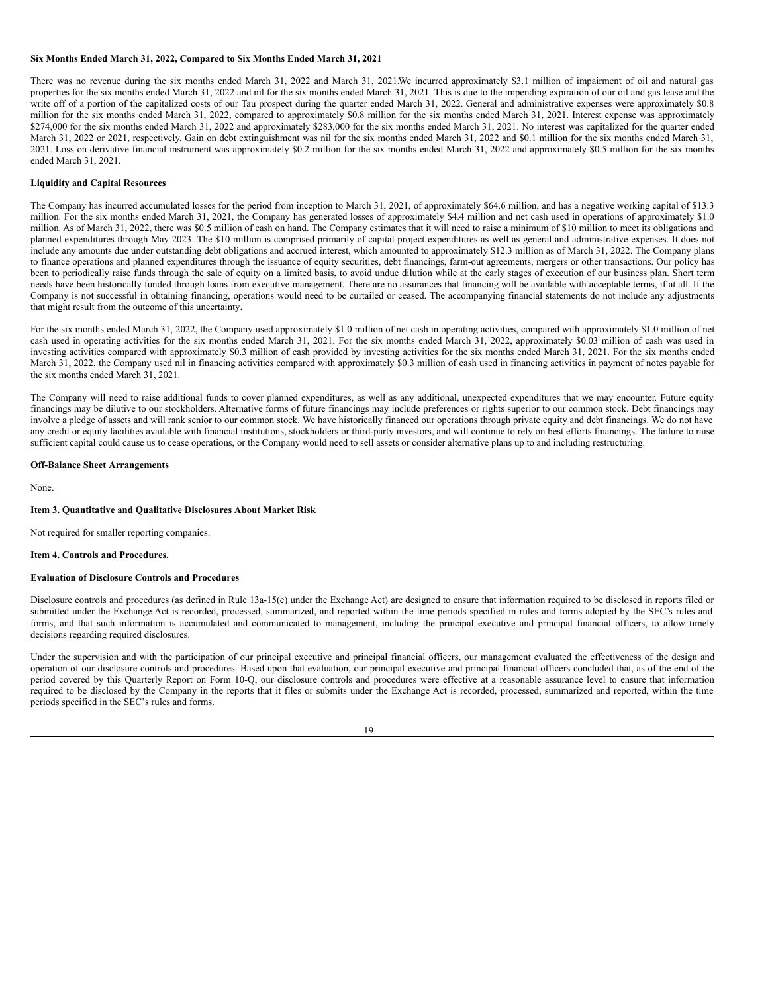## **Six Months Ended March 31, 2022, Compared to Six Months Ended March 31, 2021**

There was no revenue during the six months ended March 31, 2022 and March 31, 2021.We incurred approximately \$3.1 million of impairment of oil and natural gas properties for the six months ended March 31, 2022 and nil for the six months ended March 31, 2021. This is due to the impending expiration of our oil and gas lease and the write off of a portion of the capitalized costs of our Tau prospect during the quarter ended March 31, 2022. General and administrative expenses were approximately \$0.8 million for the six months ended March 31, 2022, compared to approximately \$0.8 million for the six months ended March 31, 2021. Interest expense was approximately \$274,000 for the six months ended March 31, 2022 and approximately \$283,000 for the six months ended March 31, 2021. No interest was capitalized for the quarter ended March 31, 2022 or 2021, respectively. Gain on debt extinguishment was nil for the six months ended March 31, 2022 and \$0.1 million for the six months ended March 31, 2021. Loss on derivative financial instrument was approximately \$0.2 million for the six months ended March 31, 2022 and approximately \$0.5 million for the six months ended March 31, 2021.

## **Liquidity and Capital Resources**

The Company has incurred accumulated losses for the period from inception to March 31, 2021, of approximately \$64.6 million, and has a negative working capital of \$13.3 million. For the six months ended March 31, 2021, the Company has generated losses of approximately \$4.4 million and net cash used in operations of approximately \$1.0 million. As of March 31, 2022, there was \$0.5 million of cash on hand. The Company estimates that it will need to raise a minimum of \$10 million to meet its obligations and planned expenditures through May 2023. The \$10 million is comprised primarily of capital project expenditures as well as general and administrative expenses. It does not include any amounts due under outstanding debt obligations and accrued interest, which amounted to approximately \$12.3 million as of March 31, 2022. The Company plans to finance operations and planned expenditures through the issuance of equity securities, debt financings, farm-out agreements, mergers or other transactions. Our policy has been to periodically raise funds through the sale of equity on a limited basis, to avoid undue dilution while at the early stages of execution of our business plan. Short term needs have been historically funded through loans from executive management. There are no assurances that financing will be available with acceptable terms, if at all. If the Company is not successful in obtaining financing, operations would need to be curtailed or ceased. The accompanying financial statements do not include any adjustments that might result from the outcome of this uncertainty.

For the six months ended March 31, 2022, the Company used approximately \$1.0 million of net cash in operating activities, compared with approximately \$1.0 million of net cash used in operating activities for the six months ended March 31, 2021. For the six months ended March 31, 2022, approximately \$0.03 million of cash was used in investing activities compared with approximately \$0.3 million of cash provided by investing activities for the six months ended March 31, 2021. For the six months ended March 31, 2022, the Company used nil in financing activities compared with approximately \$0.3 million of cash used in financing activities in payment of notes payable for the six months ended March 31, 2021.

The Company will need to raise additional funds to cover planned expenditures, as well as any additional, unexpected expenditures that we may encounter. Future equity financings may be dilutive to our stockholders. Alternative forms of future financings may include preferences or rights superior to our common stock. Debt financings may involve a pledge of assets and will rank senior to our common stock. We have historically financed our operations through private equity and debt financings. We do not have any credit or equity facilities available with financial institutions, stockholders or third-party investors, and will continue to rely on best efforts financings. The failure to raise sufficient capital could cause us to cease operations, or the Company would need to sell assets or consider alternative plans up to and including restructuring.

#### **Off-Balance Sheet Arrangements**

None.

## **Item 3. Quantitative and Qualitative Disclosures About Market Risk**

Not required for smaller reporting companies.

#### **Item 4. Controls and Procedures.**

## **Evaluation of Disclosure Controls and Procedures**

Disclosure controls and procedures (as defined in Rule 13a-15(e) under the Exchange Act) are designed to ensure that information required to be disclosed in reports filed or submitted under the Exchange Act is recorded, processed, summarized, and reported within the time periods specified in rules and forms adopted by the SEC's rules and forms, and that such information is accumulated and communicated to management, including the principal executive and principal financial officers, to allow timely decisions regarding required disclosures.

Under the supervision and with the participation of our principal executive and principal financial officers, our management evaluated the effectiveness of the design and operation of our disclosure controls and procedures. Based upon that evaluation, our principal executive and principal financial officers concluded that, as of the end of the period covered by this Quarterly Report on Form 10-Q, our disclosure controls and procedures were effective at a reasonable assurance level to ensure that information required to be disclosed by the Company in the reports that it files or submits under the Exchange Act is recorded, processed, summarized and reported, within the time periods specified in the SEC's rules and forms.

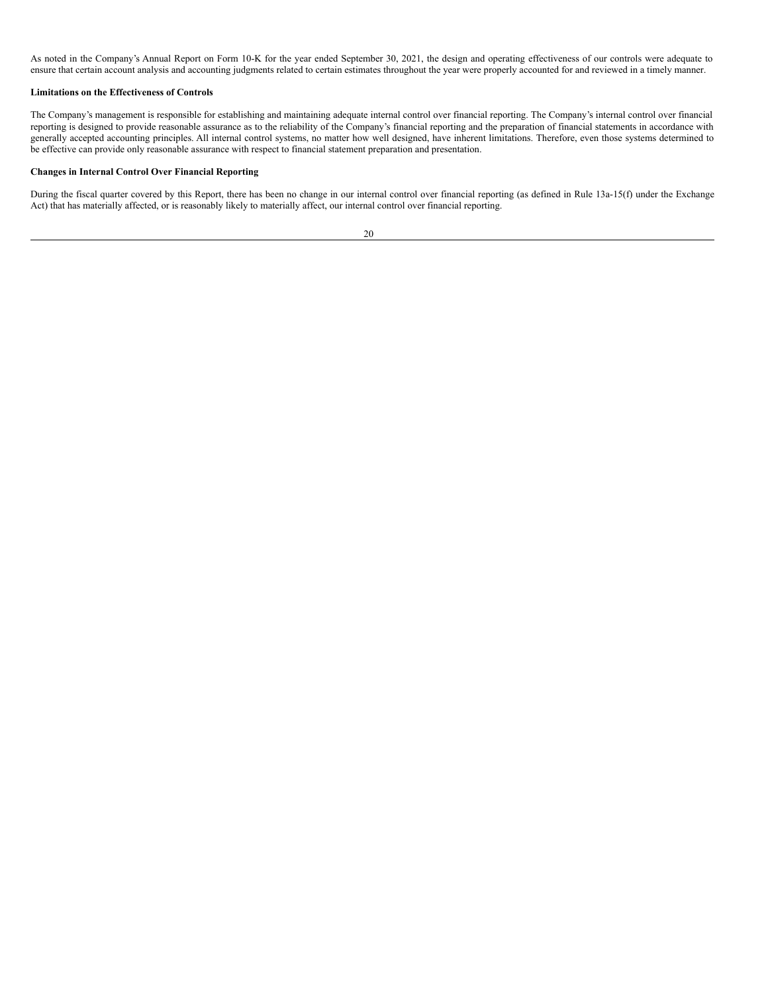As noted in the Company's Annual Report on Form 10-K for the year ended September 30, 2021, the design and operating effectiveness of our controls were adequate to ensure that certain account analysis and accounting judgments related to certain estimates throughout the year were properly accounted for and reviewed in a timely manner.

## **Limitations on the Effectiveness of Controls**

The Company's management is responsible for establishing and maintaining adequate internal control over financial reporting. The Company's internal control over financial reporting is designed to provide reasonable assurance as to the reliability of the Company's financial reporting and the preparation of financial statements in accordance with generally accepted accounting principles. All internal control systems, no matter how well designed, have inherent limitations. Therefore, even those systems determined to be effective can provide only reasonable assurance with respect to financial statement preparation and presentation.

## **Changes in Internal Control Over Financial Reporting**

During the fiscal quarter covered by this Report, there has been no change in our internal control over financial reporting (as defined in Rule 13a-15(f) under the Exchange Act) that has materially affected, or is reasonably likely to materially affect, our internal control over financial reporting.

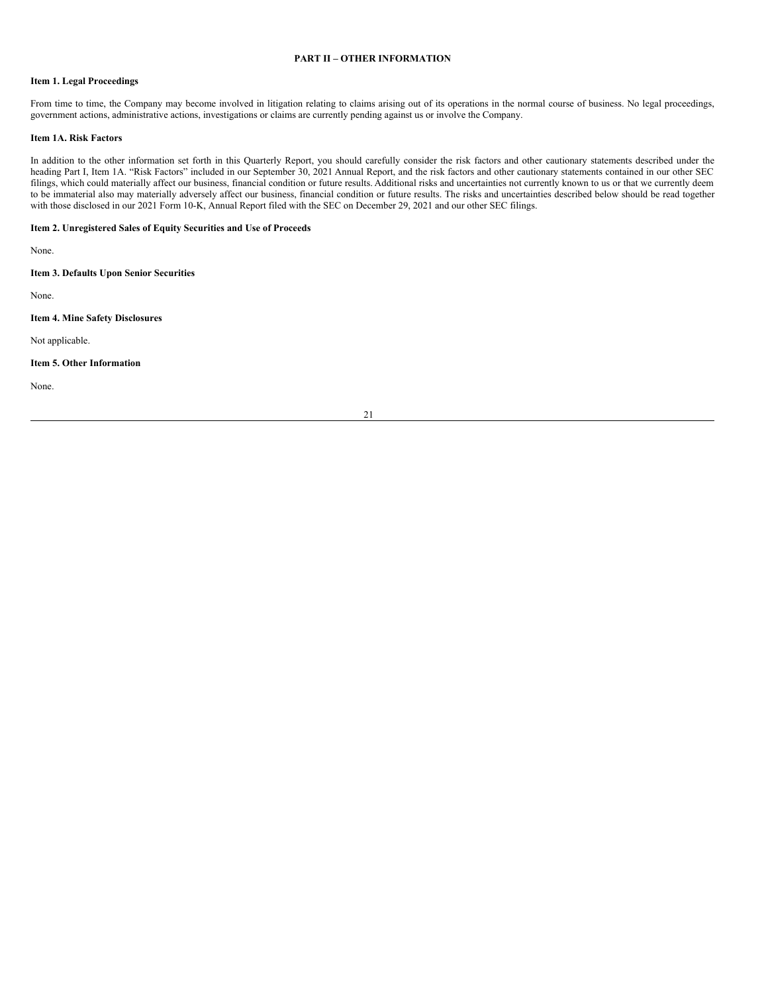## **PART II – OTHER INFORMATION**

## **Item 1. Legal Proceedings**

From time to time, the Company may become involved in litigation relating to claims arising out of its operations in the normal course of business. No legal proceedings, government actions, administrative actions, investigations or claims are currently pending against us or involve the Company.

## **Item 1A. Risk Factors**

In addition to the other information set forth in this Quarterly Report, you should carefully consider the risk factors and other cautionary statements described under the heading Part I, Item 1A. "Risk Factors" included in our September 30, 2021 Annual Report, and the risk factors and other cautionary statements contained in our other SEC filings, which could materially affect our business, financial condition or future results. Additional risks and uncertainties not currently known to us or that we currently deem to be immaterial also may materially adversely affect our business, financial condition or future results. The risks and uncertainties described below should be read together with those disclosed in our 2021 Form 10-K, Annual Report filed with the SEC on December 29, 2021 and our other SEC filings.

## **Item 2. Unregistered Sales of Equity Securities and Use of Proceeds**

None.

**Item 3. Defaults Upon Senior Securities**

None.

## **Item 4. Mine Safety Disclosures**

Not applicable.

## **Item 5. Other Information**

None.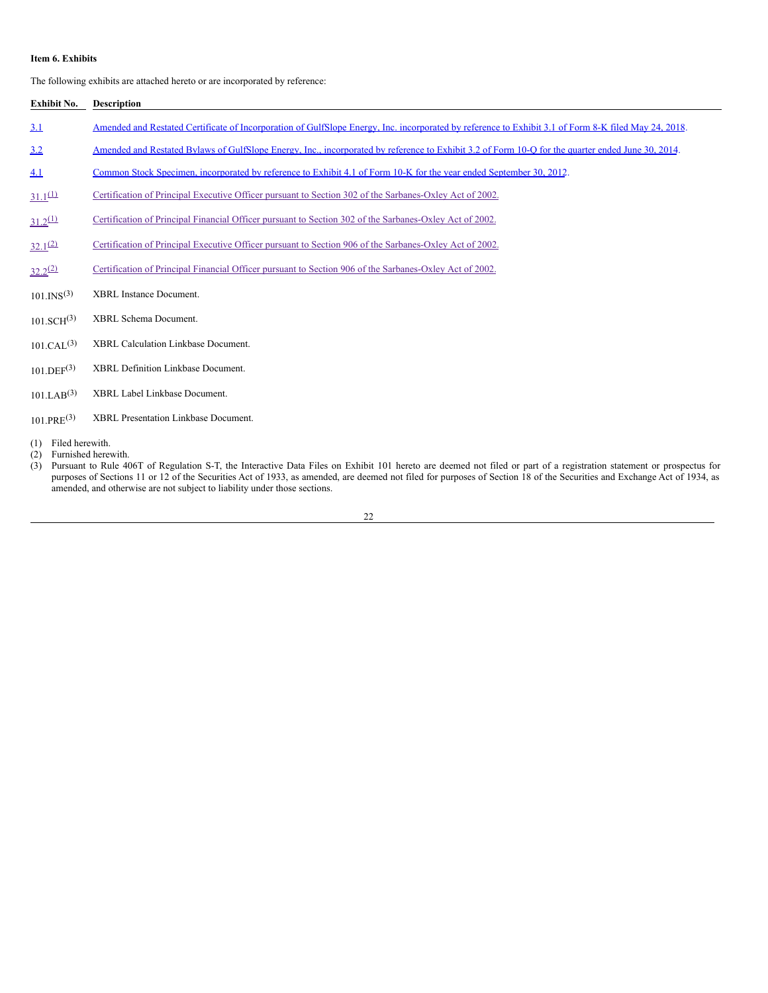## **Item 6. Exhibits**

The following exhibits are attached hereto or are incorporated by reference:

| The following exhibits are attached hereto or are incorporated by reference. |                                                                                                                                                                                                 |  |  |  |  |  |
|------------------------------------------------------------------------------|-------------------------------------------------------------------------------------------------------------------------------------------------------------------------------------------------|--|--|--|--|--|
| Exhibit No.                                                                  | <b>Description</b>                                                                                                                                                                              |  |  |  |  |  |
| <u>3.1</u>                                                                   | Amended and Restated Certificate of Incorporation of GulfSlope Energy, Inc. incorporated by reference to Exhibit 3.1 of Form 8-K filed May 24, 2018.                                            |  |  |  |  |  |
| 3.2                                                                          | Amended and Restated Bylaws of GulfSlope Energy, Inc., incorporated by reference to Exhibit 3.2 of Form 10-Q for the quarter ended June 30, 2014.                                               |  |  |  |  |  |
| <u>4.1</u>                                                                   | Common Stock Specimen, incorporated by reference to Exhibit 4.1 of Form 10-K for the year ended September 30, 2012.                                                                             |  |  |  |  |  |
| $31.1^{(1)}$                                                                 | Certification of Principal Executive Officer pursuant to Section 302 of the Sarbanes-Oxley Act of 2002.                                                                                         |  |  |  |  |  |
| $31.2^{(1)}$                                                                 | Certification of Principal Financial Officer pursuant to Section 302 of the Sarbanes-Oxley Act of 2002.                                                                                         |  |  |  |  |  |
| $32.1^{(2)}$                                                                 | Certification of Principal Executive Officer pursuant to Section 906 of the Sarbanes-Oxley Act of 2002.                                                                                         |  |  |  |  |  |
| $32.2^{(2)}$                                                                 | Certification of Principal Financial Officer pursuant to Section 906 of the Sarbanes-Oxley Act of 2002.                                                                                         |  |  |  |  |  |
| 101.INS <sup>(3)</sup>                                                       | XBRL Instance Document.                                                                                                                                                                         |  |  |  |  |  |
| 101.SCH <sup>(3)</sup>                                                       | <b>XBRL</b> Schema Document.                                                                                                                                                                    |  |  |  |  |  |
| 101.CAL <sup>(3)</sup>                                                       | XBRL Calculation Linkbase Document.                                                                                                                                                             |  |  |  |  |  |
| 101.DEF <sup>(3)</sup>                                                       | XBRL Definition Linkbase Document.                                                                                                                                                              |  |  |  |  |  |
| 101.LAB <sup>(3)</sup>                                                       | XBRL Label Linkbase Document.                                                                                                                                                                   |  |  |  |  |  |
| $101.PRE^{(3)}$                                                              | XBRL Presentation Linkbase Document.                                                                                                                                                            |  |  |  |  |  |
| (1) Filed herewith.<br>(2)                                                   | Furnished herewith.<br>(3) Pursuant to Rule 406T of Regulation S-T, the Interactive Data Files on Exhibit 101 hereto are deemed not filed or part of a registration statement or prospectus for |  |  |  |  |  |

purposes of Sections 11 or 12 of the Securities Act of 1933, as amended, are deemed not filed for purposes of Section 18 of the Securities and Exchange Act of 1934, as amended, and otherwise are not subject to liability under those sections.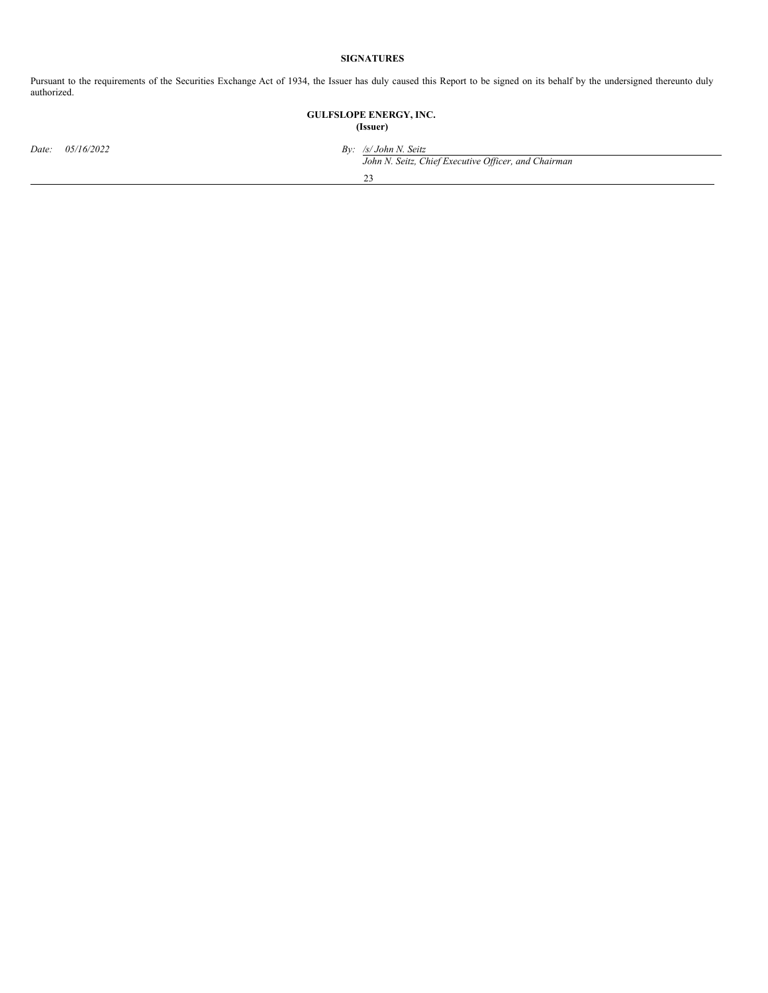## **SIGNATURES**

Pursuant to the requirements of the Securities Exchange Act of 1934, the Issuer has duly caused this Report to be signed on its behalf by the undersigned thereunto duly authorized.

| <b>GULFSLOPE ENERGY, INC.</b><br>(Issuer) |                   |                                                                               |  |  |  |
|-------------------------------------------|-------------------|-------------------------------------------------------------------------------|--|--|--|
| Date:                                     | <i>05/16/2022</i> | By: /s/ John N. Seitz<br>John N. Seitz, Chief Executive Officer, and Chairman |  |  |  |
|                                           |                   | 23                                                                            |  |  |  |
|                                           |                   |                                                                               |  |  |  |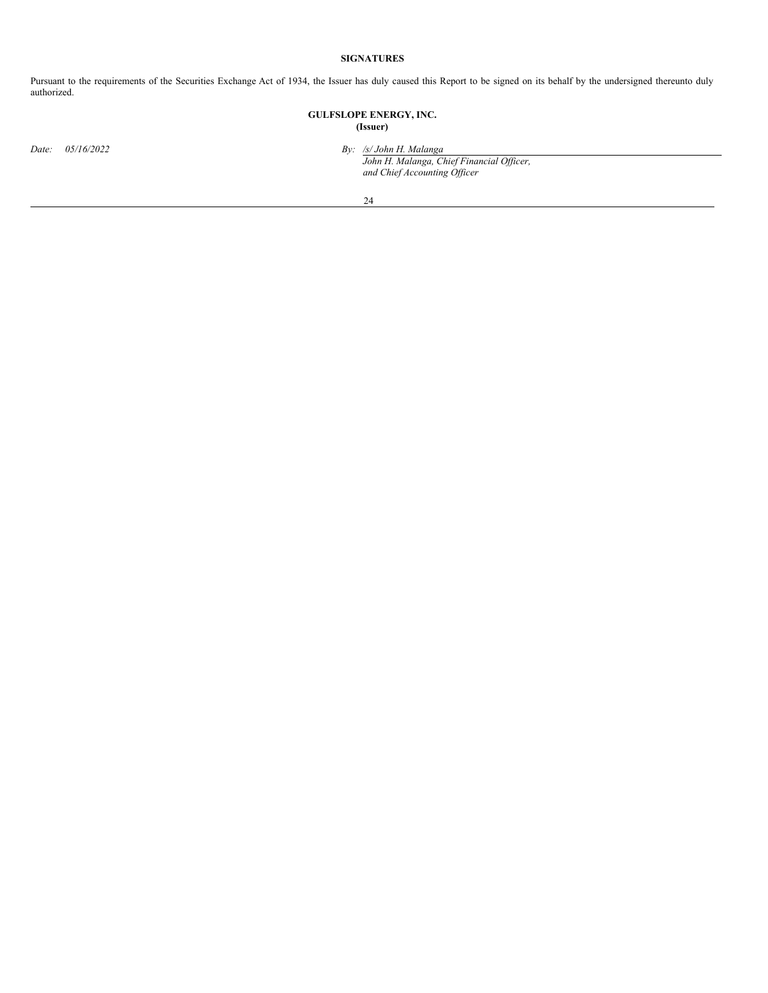## **SIGNATURES**

Pursuant to the requirements of the Securities Exchange Act of 1934, the Issuer has duly caused this Report to be signed on its behalf by the undersigned thereunto duly authorized.

## **GULFSLOPE ENERGY, INC. (Issuer)**

*Date: 05/16/2022 By: /s/ John H. Malanga*

*John H. Malanga, Chief Financial Of icer, and Chief Accounting Of icer*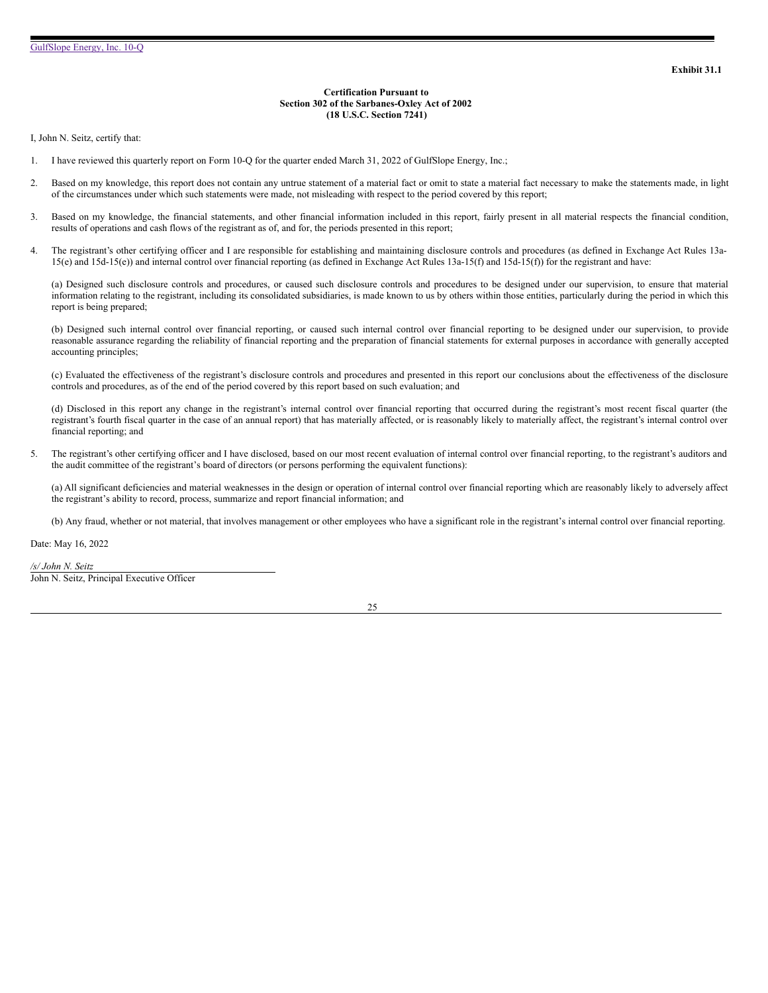## **Certification Pursuant to Section 302 of the Sarbanes-Oxley Act of 2002 (18 U.S.C. Section 7241)**

<span id="page-24-0"></span>I, John N. Seitz, certify that:

- 1. I have reviewed this quarterly report on Form 10-Q for the quarter ended March 31, 2022 of GulfSlope Energy, Inc.;
- 2. Based on my knowledge, this report does not contain any untrue statement of a material fact or omit to state a material fact necessary to make the statements made, in light of the circumstances under which such statements were made, not misleading with respect to the period covered by this report;
- 3. Based on my knowledge, the financial statements, and other financial information included in this report, fairly present in all material respects the financial condition, results of operations and cash flows of the registrant as of, and for, the periods presented in this report;
- 4. The registrant's other certifying officer and I are responsible for establishing and maintaining disclosure controls and procedures (as defined in Exchange Act Rules 13a-15(e) and 15d-15(e)) and internal control over financial reporting (as defined in Exchange Act Rules 13a-15(f) and 15d-15(f)) for the registrant and have:

(a) Designed such disclosure controls and procedures, or caused such disclosure controls and procedures to be designed under our supervision, to ensure that material information relating to the registrant, including its consolidated subsidiaries, is made known to us by others within those entities, particularly during the period in which this report is being prepared;

(b) Designed such internal control over financial reporting, or caused such internal control over financial reporting to be designed under our supervision, to provide reasonable assurance regarding the reliability of financial reporting and the preparation of financial statements for external purposes in accordance with generally accepted accounting principles;

(c) Evaluated the effectiveness of the registrant's disclosure controls and procedures and presented in this report our conclusions about the effectiveness of the disclosure controls and procedures, as of the end of the period covered by this report based on such evaluation; and

(d) Disclosed in this report any change in the registrant's internal control over financial reporting that occurred during the registrant's most recent fiscal quarter (the registrant's fourth fiscal quarter in the case of an annual report) that has materially affected, or is reasonably likely to materially affect, the registrant's internal control over financial reporting; and

5. The registrant's other certifying officer and I have disclosed, based on our most recent evaluation of internal control over financial reporting, to the registrant's auditors and the audit committee of the registrant's board of directors (or persons performing the equivalent functions):

(a) All significant deficiencies and material weaknesses in the design or operation of internal control over financial reporting which are reasonably likely to adversely affect the registrant's ability to record, process, summarize and report financial information; and

(b) Any fraud, whether or not material, that involves management or other employees who have a significant role in the registrant's internal control over financial reporting.

Date: May 16, 2022

*/s/ John N. Seitz* John N. Seitz, Principal Executive Officer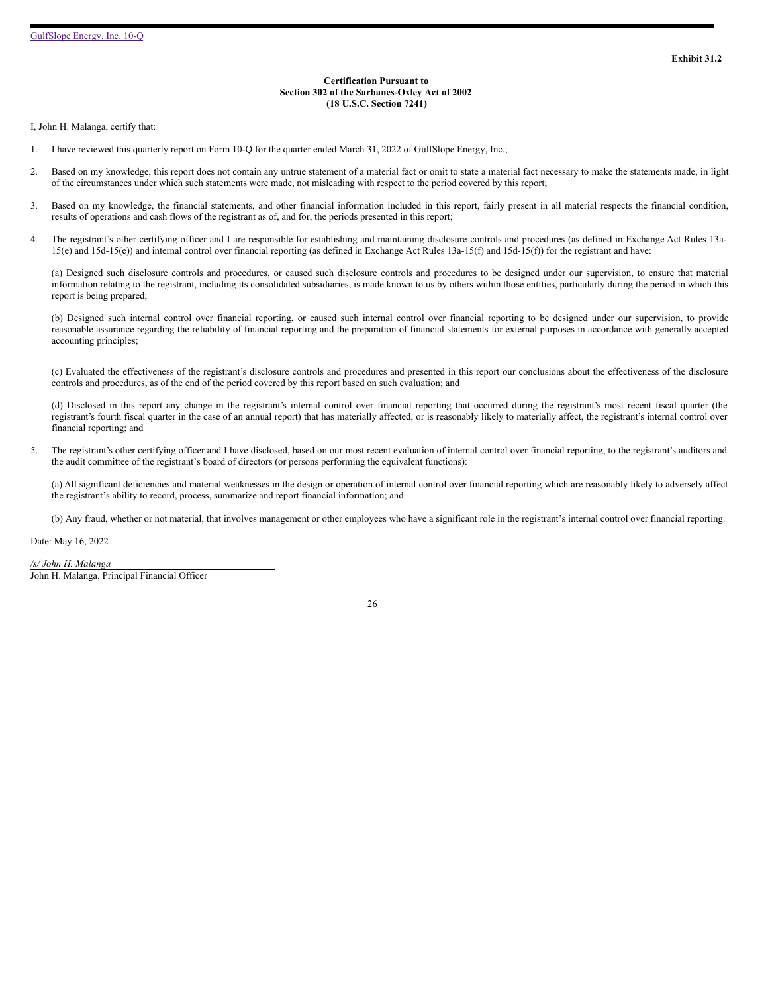## **Certification Pursuant to Section 302 of the Sarbanes-Oxley Act of 2002 (18 U.S.C. Section 7241)**

<span id="page-25-0"></span>I, John H. Malanga, certify that:

- 1. I have reviewed this quarterly report on Form 10-Q for the quarter ended March 31, 2022 of GulfSlope Energy, Inc.;
- 2. Based on my knowledge, this report does not contain any untrue statement of a material fact or omit to state a material fact necessary to make the statements made, in light of the circumstances under which such statements were made, not misleading with respect to the period covered by this report;
- 3. Based on my knowledge, the financial statements, and other financial information included in this report, fairly present in all material respects the financial condition, results of operations and cash flows of the registrant as of, and for, the periods presented in this report;
- 4. The registrant's other certifying officer and I are responsible for establishing and maintaining disclosure controls and procedures (as defined in Exchange Act Rules 13a-15(e) and 15d-15(e)) and internal control over financial reporting (as defined in Exchange Act Rules 13a-15(f) and 15d-15(f)) for the registrant and have:

(a) Designed such disclosure controls and procedures, or caused such disclosure controls and procedures to be designed under our supervision, to ensure that material information relating to the registrant, including its consolidated subsidiaries, is made known to us by others within those entities, particularly during the period in which this report is being prepared;

(b) Designed such internal control over financial reporting, or caused such internal control over financial reporting to be designed under our supervision, to provide reasonable assurance regarding the reliability of financial reporting and the preparation of financial statements for external purposes in accordance with generally accepted accounting principles;

(c) Evaluated the effectiveness of the registrant's disclosure controls and procedures and presented in this report our conclusions about the effectiveness of the disclosure controls and procedures, as of the end of the period covered by this report based on such evaluation; and

(d) Disclosed in this report any change in the registrant's internal control over financial reporting that occurred during the registrant's most recent fiscal quarter (the registrant's fourth fiscal quarter in the case of an annual report) that has materially affected, or is reasonably likely to materially affect, the registrant's internal control over financial reporting; and

5. The registrant's other certifying officer and I have disclosed, based on our most recent evaluation of internal control over financial reporting, to the registrant's auditors and the audit committee of the registrant's board of directors (or persons performing the equivalent functions):

(a) All significant deficiencies and material weaknesses in the design or operation of internal control over financial reporting which are reasonably likely to adversely affect the registrant's ability to record, process, summarize and report financial information; and

(b) Any fraud, whether or not material, that involves management or other employees who have a significant role in the registrant's internal control over financial reporting.

Date: May 16, 2022

*/s/ John H. Malanga* John H. Malanga, Principal Financial Officer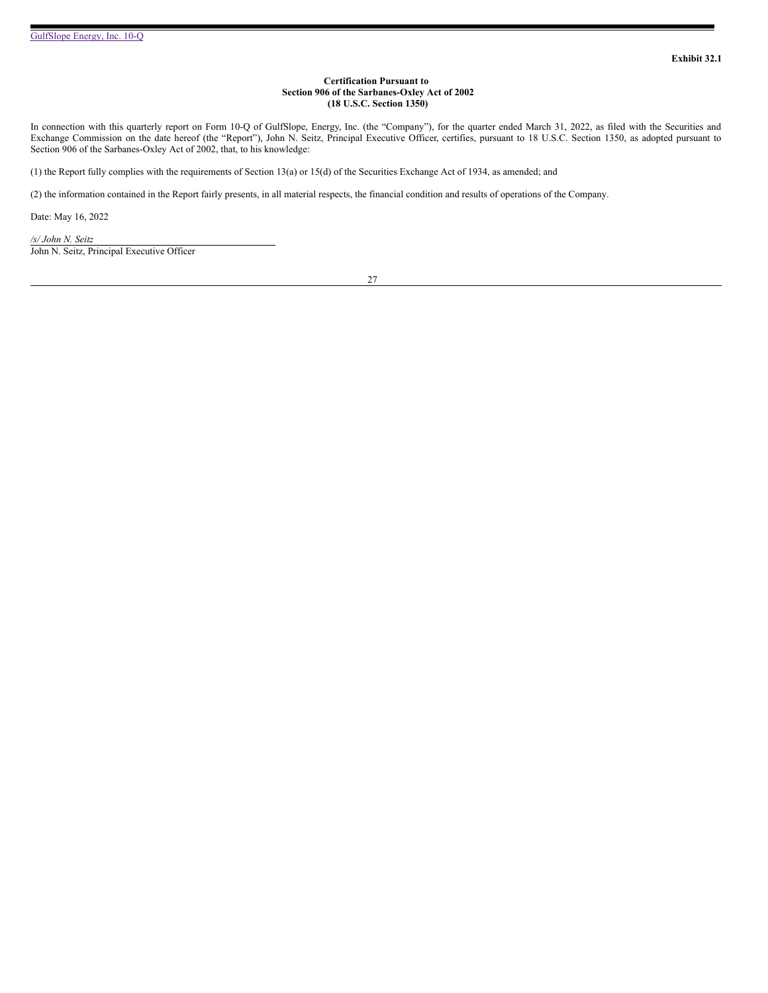## **Certification Pursuant to Section 906 of the Sarbanes-Oxley Act of 2002 (18 U.S.C. Section 1350)**

<span id="page-26-0"></span>In connection with this quarterly report on Form 10-Q of GulfSlope, Energy, Inc. (the "Company"), for the quarter ended March 31, 2022, as filed with the Securities and Exchange Commission on the date hereof (the "Report"), John N. Seitz, Principal Executive Officer, certifies, pursuant to 18 U.S.C. Section 1350, as adopted pursuant to Section 906 of the Sarbanes-Oxley Act of 2002, that, to his knowledge:

(1) the Report fully complies with the requirements of Section 13(a) or 15(d) of the Securities Exchange Act of 1934, as amended; and

(2) the information contained in the Report fairly presents, in all material respects, the financial condition and results of operations of the Company.

Date: May 16, 2022

*/s/ John N. Seitz* John N. Seitz, Principal Executive Officer